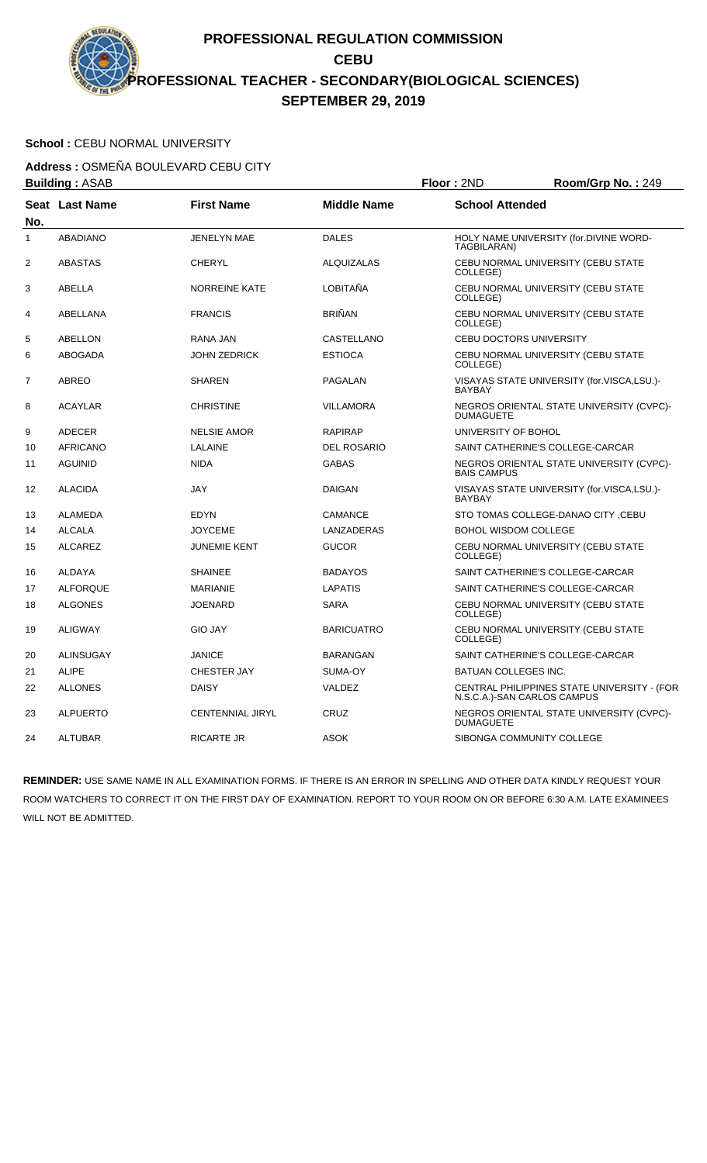### School : CEBU NORMAL UNIVERSITY

**Address :** OSMEÑA BOULEVARD CEBU CITY **Building :** ASAB **Floor :** 2ND **Room/Grp No. :** 249

|     | Dullully . AJAD  |                         |                    | <b>דוטטו . בו</b> ז              | <b>NUUIIIUU INU.</b> . 249                  |
|-----|------------------|-------------------------|--------------------|----------------------------------|---------------------------------------------|
| No. | Seat Last Name   | <b>First Name</b>       | <b>Middle Name</b> | <b>School Attended</b>           |                                             |
| 1   | <b>ABADIANO</b>  | <b>JENELYN MAE</b>      | <b>DALES</b>       | TAGBILARAN)                      | HOLY NAME UNIVERSITY (for.DIVINE WORD-      |
| 2   | <b>ABASTAS</b>   | <b>CHERYL</b>           | <b>ALQUIZALAS</b>  | COLLEGE)                         | CEBU NORMAL UNIVERSITY (CEBU STATE          |
| 3   | <b>ABELLA</b>    | <b>NORREINE KATE</b>    | LOBITAÑA           | COLLEGE)                         | CEBU NORMAL UNIVERSITY (CEBU STATE          |
| 4   | ABELLANA         | <b>FRANCIS</b>          | <b>BRIÑAN</b>      | COLLEGE)                         | CEBU NORMAL UNIVERSITY (CEBU STATE          |
| 5   | ABELLON          | RANA JAN                | CASTELLANO         | CEBU DOCTORS UNIVERSITY          |                                             |
| 6   | <b>ABOGADA</b>   | JOHN ZEDRICK            | <b>ESTIOCA</b>     | COLLEGE)                         | CEBU NORMAL UNIVERSITY (CEBU STATE          |
| 7   | <b>ABREO</b>     | <b>SHAREN</b>           | PAGALAN            | <b>BAYBAY</b>                    | VISAYAS STATE UNIVERSITY (for.VISCA,LSU.)-  |
| 8   | <b>ACAYLAR</b>   | <b>CHRISTINE</b>        | <b>VILLAMORA</b>   | <b>DUMAGUETE</b>                 | NEGROS ORIENTAL STATE UNIVERSITY (CVPC)-    |
| 9   | ADECER           | <b>NELSIE AMOR</b>      | <b>RAPIRAP</b>     | UNIVERSITY OF BOHOL              |                                             |
| 10  | <b>AFRICANO</b>  | LALAINE                 | <b>DEL ROSARIO</b> | SAINT CATHERINE'S COLLEGE-CARCAR |                                             |
| 11  | <b>AGUINID</b>   | <b>NIDA</b>             | <b>GABAS</b>       | BAIS CAMPUS                      | NEGROS ORIENTAL STATE UNIVERSITY (CVPC)-    |
| 12  | <b>ALACIDA</b>   | <b>JAY</b>              | <b>DAIGAN</b>      | <b>BAYBAY</b>                    | VISAYAS STATE UNIVERSITY (for.VISCA,LSU.)-  |
| 13  | ALAMEDA          | <b>EDYN</b>             | <b>CAMANCE</b>     |                                  | STO TOMAS COLLEGE-DANAO CITY, CEBU          |
| 14  | <b>ALCALA</b>    | <b>JOYCEME</b>          | LANZADERAS         | <b>BOHOL WISDOM COLLEGE</b>      |                                             |
| 15  | <b>ALCAREZ</b>   | <b>JUNEMIE KENT</b>     | <b>GUCOR</b>       | COLLEGE)                         | CEBU NORMAL UNIVERSITY (CEBU STATE          |
| 16  | <b>ALDAYA</b>    | <b>SHAINEE</b>          | <b>BADAYOS</b>     | SAINT CATHERINE'S COLLEGE-CARCAR |                                             |
| 17  | <b>ALFORQUE</b>  | <b>MARIANIE</b>         | LAPATIS            | SAINT CATHERINE'S COLLEGE-CARCAR |                                             |
| 18  | <b>ALGONES</b>   | <b>JOENARD</b>          | <b>SARA</b>        | COLLEGE)                         | CEBU NORMAL UNIVERSITY (CEBU STATE          |
| 19  | <b>ALIGWAY</b>   | <b>GIO JAY</b>          | <b>BARICUATRO</b>  | COLLEGE)                         | CEBU NORMAL UNIVERSITY (CEBU STATE          |
| 20  | <b>ALINSUGAY</b> | <b>JANICE</b>           | <b>BARANGAN</b>    | SAINT CATHERINE'S COLLEGE-CARCAR |                                             |
| 21  | <b>ALIPE</b>     | <b>CHESTER JAY</b>      | SUMA-OY            | <b>BATUAN COLLEGES INC.</b>      |                                             |
| 22  | <b>ALLONES</b>   | <b>DAISY</b>            | VALDEZ             | N.S.C.A.)-SAN CARLOS CAMPUS      | CENTRAL PHILIPPINES STATE UNIVERSITY - (FOR |
| 23  | <b>ALPUERTO</b>  | <b>CENTENNIAL JIRYL</b> | CRUZ               | <b>DUMAGUETE</b>                 | NEGROS ORIENTAL STATE UNIVERSITY (CVPC)-    |
| 24  | <b>ALTUBAR</b>   | <b>RICARTE JR</b>       | <b>ASOK</b>        | SIBONGA COMMUNITY COLLEGE        |                                             |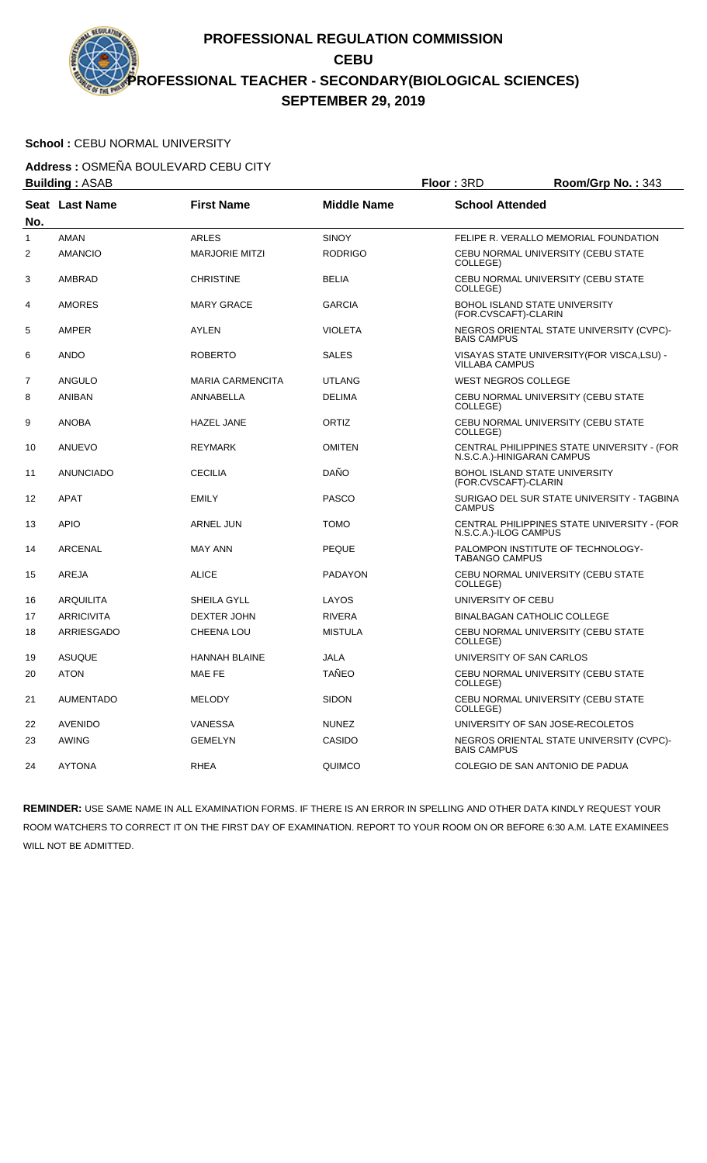# School : CEBU NORMAL UNIVERSITY

**Address :** OSMEÑA BOULEVARD CEBU CITY

|     | <b>Building: ASAB</b> | Floor: 3RD              |                    | Room/Grp No.: 343          |                                             |
|-----|-----------------------|-------------------------|--------------------|----------------------------|---------------------------------------------|
| No. | <b>Seat Last Name</b> | <b>First Name</b>       | <b>Middle Name</b> | <b>School Attended</b>     |                                             |
| 1   | <b>AMAN</b>           | <b>ARLES</b>            | <b>SINOY</b>       |                            | FELIPE R. VERALLO MEMORIAL FOUNDATION       |
| 2   | <b>AMANCIO</b>        | <b>MARJORIE MITZI</b>   | <b>RODRIGO</b>     | COLLEGE)                   | CEBU NORMAL UNIVERSITY (CEBU STATE          |
| 3   | AMBRAD                | <b>CHRISTINE</b>        | <b>BELIA</b>       | COLLEGE)                   | CEBU NORMAL UNIVERSITY (CEBU STATE          |
| 4   | <b>AMORES</b>         | <b>MARY GRACE</b>       | <b>GARCIA</b>      | (FOR.CVSCAFT)-CLARIN       | BOHOL ISLAND STATE UNIVERSITY               |
| 5   | <b>AMPER</b>          | AYLEN                   | <b>VIOLETA</b>     | <b>BAIS CAMPUS</b>         | NEGROS ORIENTAL STATE UNIVERSITY (CVPC)-    |
| 6   | <b>ANDO</b>           | <b>ROBERTO</b>          | <b>SALES</b>       | <b>VILLABA CAMPUS</b>      | VISAYAS STATE UNIVERSITY (FOR VISCA, LSU) - |
| 7   | ANGULO                | <b>MARIA CARMENCITA</b> | <b>UTLANG</b>      | <b>WEST NEGROS COLLEGE</b> |                                             |
| 8   | ANIBAN                | ANNABELLA               | <b>DELIMA</b>      | COLLEGE)                   | CEBU NORMAL UNIVERSITY (CEBU STATE          |
| 9   | <b>ANOBA</b>          | <b>HAZEL JANE</b>       | <b>ORTIZ</b>       | COLLEGE)                   | CEBU NORMAL UNIVERSITY (CEBU STATE          |
| 10  | ANUEVO                | <b>REYMARK</b>          | <b>OMITEN</b>      | N.S.C.A.)-HINIGARAN CAMPUS | CENTRAL PHILIPPINES STATE UNIVERSITY - (FOR |
| 11  | <b>ANUNCIADO</b>      | <b>CECILIA</b>          | DAÑO               | (FOR.CVSCAFT)-CLARIN       | <b>BOHOL ISLAND STATE UNIVERSITY</b>        |
| 12  | <b>APAT</b>           | <b>EMILY</b>            | <b>PASCO</b>       | <b>CAMPUS</b>              | SURIGAO DEL SUR STATE UNIVERSITY - TAGBINA  |
| 13  | <b>APIO</b>           | <b>ARNEL JUN</b>        | <b>TOMO</b>        | N.S.C.A.)-ILOG CAMPUS      | CENTRAL PHILIPPINES STATE UNIVERSITY - (FOR |
| 14  | <b>ARCENAL</b>        | <b>MAY ANN</b>          | <b>PEQUE</b>       | <b>TABANGO CAMPUS</b>      | PALOMPON INSTITUTE OF TECHNOLOGY-           |
| 15  | <b>AREJA</b>          | <b>ALICE</b>            | <b>PADAYON</b>     | COLLEGE)                   | CEBU NORMAL UNIVERSITY (CEBU STATE          |
| 16  | ARQUILITA             | SHEILA GYLL             | LAYOS              | UNIVERSITY OF CEBU         |                                             |
| 17  | <b>ARRICIVITA</b>     | <b>DEXTER JOHN</b>      | <b>RIVERA</b>      |                            | <b>BINALBAGAN CATHOLIC COLLEGE</b>          |
| 18  | ARRIESGADO            | <b>CHEENA LOU</b>       | <b>MISTULA</b>     | COLLEGE)                   | CEBU NORMAL UNIVERSITY (CEBU STATE          |
| 19  | <b>ASUQUE</b>         | <b>HANNAH BLAINE</b>    | <b>JALA</b>        | UNIVERSITY OF SAN CARLOS   |                                             |
| 20  | <b>ATON</b>           | MAE FE                  | <b>TAÑEO</b>       | COLLEGE)                   | CEBU NORMAL UNIVERSITY (CEBU STATE          |
| 21  | <b>AUMENTADO</b>      | <b>MELODY</b>           | <b>SIDON</b>       | COLLEGE)                   | CEBU NORMAL UNIVERSITY (CEBU STATE          |
| 22  | <b>AVENIDO</b>        | <b>VANESSA</b>          | <b>NUNEZ</b>       |                            | UNIVERSITY OF SAN JOSE-RECOLETOS            |
| 23  | <b>AWING</b>          | <b>GEMELYN</b>          | CASIDO             | <b>BAIS CAMPUS</b>         | NEGROS ORIENTAL STATE UNIVERSITY (CVPC)-    |
| 24  | <b>AYTONA</b>         | <b>RHEA</b>             | QUIMCO             |                            | COLEGIO DE SAN ANTONIO DE PADUA             |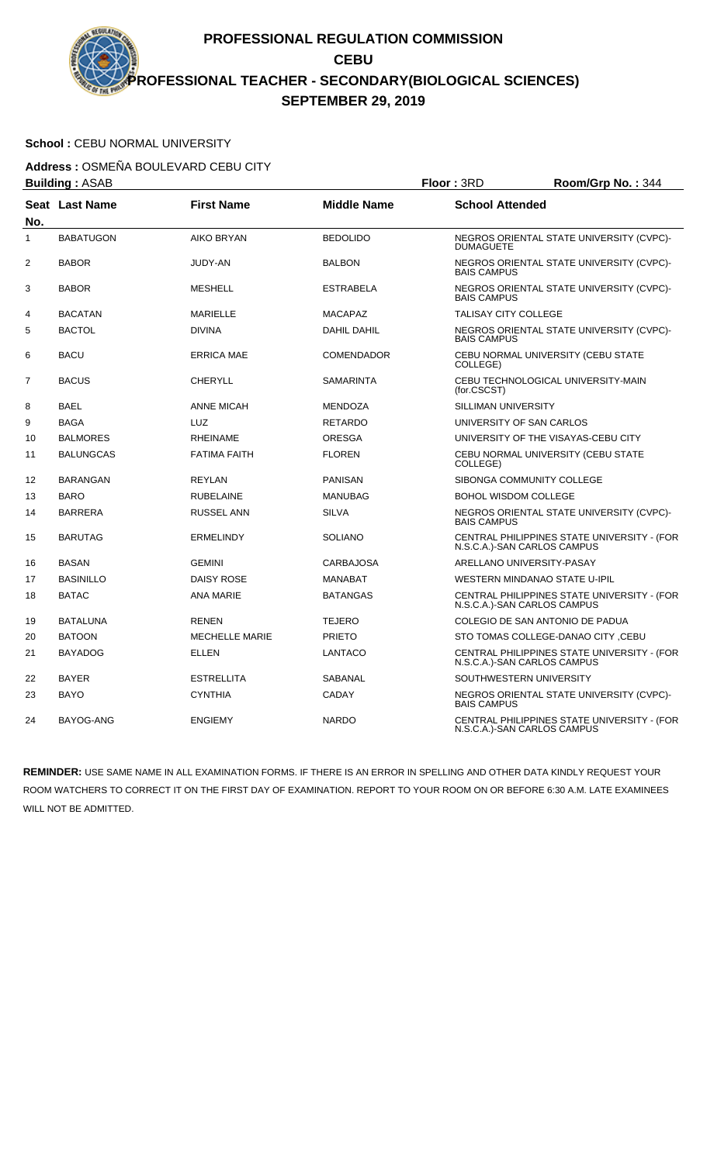### School : CEBU NORMAL UNIVERSITY

**Address :** OSMEÑA BOULEVARD CEBU CITY

|                | <b>Building: ASAB</b> | Floor: 3RD            |                    | Room/Grp No.: 344                    |                                             |
|----------------|-----------------------|-----------------------|--------------------|--------------------------------------|---------------------------------------------|
| No.            | Seat Last Name        | <b>First Name</b>     | <b>Middle Name</b> | <b>School Attended</b>               |                                             |
| $\mathbf{1}$   | <b>BABATUGON</b>      | <b>AIKO BRYAN</b>     | <b>BEDOLIDO</b>    | <b>DUMAGUETE</b>                     | NEGROS ORIENTAL STATE UNIVERSITY (CVPC)-    |
| $\overline{2}$ | <b>BABOR</b>          | JUDY-AN               | <b>BALBON</b>      | <b>BAIS CAMPUS</b>                   | NEGROS ORIENTAL STATE UNIVERSITY (CVPC)-    |
| 3              | <b>BABOR</b>          | <b>MESHELL</b>        | <b>ESTRABELA</b>   | <b>BAIS CAMPUS</b>                   | NEGROS ORIENTAL STATE UNIVERSITY (CVPC)-    |
| 4              | <b>BACATAN</b>        | <b>MARIELLE</b>       | <b>MACAPAZ</b>     | <b>TALISAY CITY COLLEGE</b>          |                                             |
| 5              | <b>BACTOL</b>         | <b>DIVINA</b>         | <b>DAHIL DAHIL</b> | <b>BAIS CAMPUS</b>                   | NEGROS ORIENTAL STATE UNIVERSITY (CVPC)-    |
| 6              | <b>BACU</b>           | <b>ERRICA MAE</b>     | <b>COMENDADOR</b>  | COLLEGE)                             | CEBU NORMAL UNIVERSITY (CEBU STATE          |
| 7              | <b>BACUS</b>          | <b>CHERYLL</b>        | <b>SAMARINTA</b>   | (for.CSCST)                          | CEBU TECHNOLOGICAL UNIVERSITY-MAIN          |
| 8              | <b>BAEL</b>           | <b>ANNE MICAH</b>     | <b>MENDOZA</b>     | SILLIMAN UNIVERSITY                  |                                             |
| 9              | <b>BAGA</b>           | <b>LUZ</b>            | <b>RETARDO</b>     | UNIVERSITY OF SAN CARLOS             |                                             |
| 10             | <b>BALMORES</b>       | <b>RHEINAME</b>       | <b>ORESGA</b>      |                                      | UNIVERSITY OF THE VISAYAS-CEBU CITY         |
| 11             | <b>BALUNGCAS</b>      | <b>FATIMA FAITH</b>   | <b>FLOREN</b>      | COLLEGE)                             | CEBU NORMAL UNIVERSITY (CEBU STATE          |
| 12             | BARANGAN              | <b>REYLAN</b>         | <b>PANISAN</b>     | SIBONGA COMMUNITY COLLEGE            |                                             |
| 13             | <b>BARO</b>           | <b>RUBELAINE</b>      | <b>MANUBAG</b>     | <b>BOHOL WISDOM COLLEGE</b>          |                                             |
| 14             | <b>BARRERA</b>        | <b>RUSSEL ANN</b>     | <b>SILVA</b>       | <b>BAIS CAMPUS</b>                   | NEGROS ORIENTAL STATE UNIVERSITY (CVPC)-    |
| 15             | <b>BARUTAG</b>        | <b>ERMELINDY</b>      | <b>SOLIANO</b>     | N.S.C.A.)-SAN CARLOS CAMPUS          | CENTRAL PHILIPPINES STATE UNIVERSITY - (FOR |
| 16             | <b>BASAN</b>          | <b>GEMINI</b>         | <b>CARBAJOSA</b>   | ARELLANO UNIVERSITY-PASAY            |                                             |
| 17             | <b>BASINILLO</b>      | <b>DAISY ROSE</b>     | <b>MANABAT</b>     | <b>WESTERN MINDANAO STATE U-IPIL</b> |                                             |
| 18             | <b>BATAC</b>          | <b>ANA MARIE</b>      | <b>BATANGAS</b>    | N.S.C.A.)-SAN CARLOS CAMPUS          | CENTRAL PHILIPPINES STATE UNIVERSITY - (FOR |
| 19             | <b>BATALUNA</b>       | <b>RENEN</b>          | <b>TEJERO</b>      | COLEGIO DE SAN ANTONIO DE PADUA      |                                             |
| 20             | <b>BATOON</b>         | <b>MECHELLE MARIE</b> | <b>PRIETO</b>      |                                      | STO TOMAS COLLEGE-DANAO CITY, CEBU          |
| 21             | <b>BAYADOG</b>        | ELLEN                 | <b>LANTACO</b>     | N.S.C.A.)-SAN CARLOS CAMPUS          | CENTRAL PHILIPPINES STATE UNIVERSITY - (FOR |
| 22             | <b>BAYER</b>          | <b>ESTRELLITA</b>     | SABANAL            | SOUTHWESTERN UNIVERSITY              |                                             |
| 23             | <b>BAYO</b>           | <b>CYNTHIA</b>        | <b>CADAY</b>       | <b>BAIS CAMPUS</b>                   | NEGROS ORIENTAL STATE UNIVERSITY (CVPC)-    |
| 24             | BAYOG-ANG             | <b>ENGIEMY</b>        | <b>NARDO</b>       | N.S.C.A.)-SAN CARLOS CAMPUS          | CENTRAL PHILIPPINES STATE UNIVERSITY - (FOR |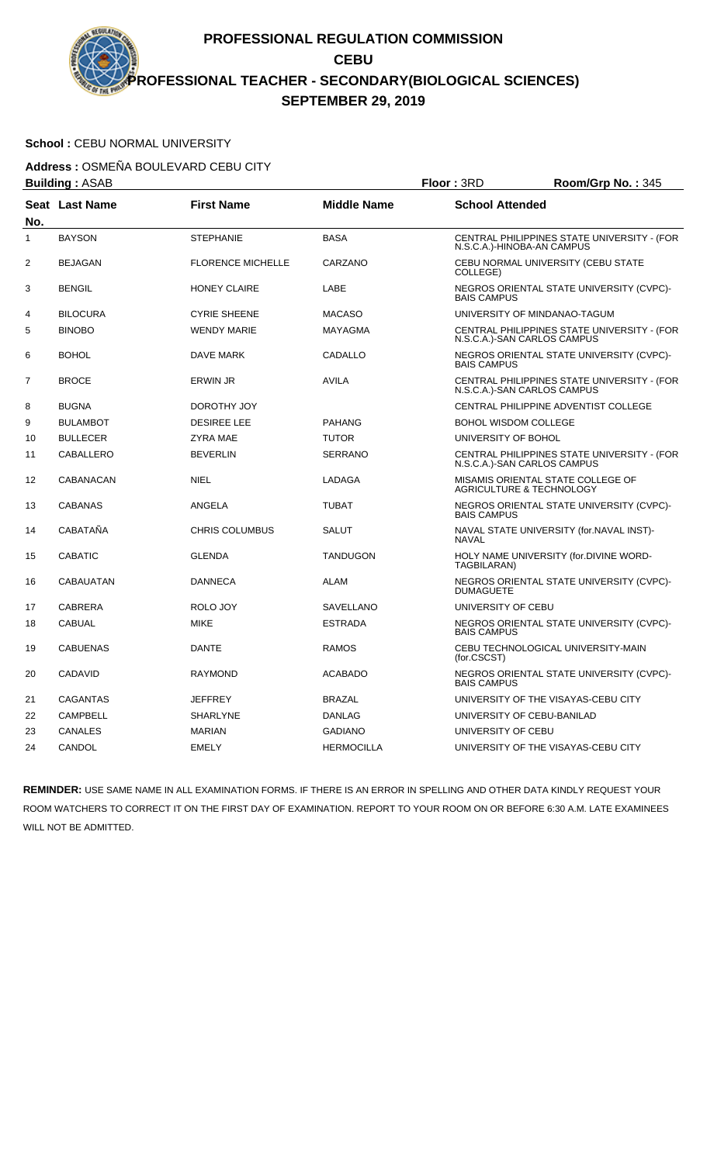### School : CEBU NORMAL UNIVERSITY

**Address :** OSMEÑA BOULEVARD CEBU CITY

|     | <b>Building: ASAB</b> |                          |                    | Floor: 3RD                                                               | Room/Grp No.: 345                           |
|-----|-----------------------|--------------------------|--------------------|--------------------------------------------------------------------------|---------------------------------------------|
| No. | Seat Last Name        | <b>First Name</b>        | <b>Middle Name</b> | <b>School Attended</b>                                                   |                                             |
| 1   | <b>BAYSON</b>         | <b>STEPHANIE</b>         | <b>BASA</b>        | N.S.C.A.)-HINOBA-AN CAMPUS                                               | CENTRAL PHILIPPINES STATE UNIVERSITY - (FOR |
| 2   | <b>BEJAGAN</b>        | <b>FLORENCE MICHELLE</b> | CARZANO            | COLLEGE)                                                                 | CEBU NORMAL UNIVERSITY (CEBU STATE          |
| 3   | <b>BENGIL</b>         | <b>HONEY CLAIRE</b>      | LABE               | <b>BAIS CAMPUS</b>                                                       | NEGROS ORIENTAL STATE UNIVERSITY (CVPC)-    |
| 4   | <b>BILOCURA</b>       | <b>CYRIE SHEENE</b>      | <b>MACASO</b>      | UNIVERSITY OF MINDANAO-TAGUM                                             |                                             |
| 5   | <b>BINOBO</b>         | <b>WENDY MARIE</b>       | <b>MAYAGMA</b>     | N.S.C.A.)-SAN CARLOS CAMPUS                                              | CENTRAL PHILIPPINES STATE UNIVERSITY - (FOR |
| 6   | <b>BOHOL</b>          | DAVE MARK                | CADALLO            | <b>BAIS CAMPUS</b>                                                       | NEGROS ORIENTAL STATE UNIVERSITY (CVPC)-    |
| 7   | <b>BROCE</b>          | <b>ERWIN JR</b>          | <b>AVILA</b>       | N.S.C.A.)-SAN CARLOS CAMPUS                                              | CENTRAL PHILIPPINES STATE UNIVERSITY - (FOR |
| 8   | <b>BUGNA</b>          | DOROTHY JOY              |                    |                                                                          | CENTRAL PHILIPPINE ADVENTIST COLLEGE        |
| 9   | <b>BULAMBOT</b>       | <b>DESIREE LEE</b>       | <b>PAHANG</b>      | <b>BOHOL WISDOM COLLEGE</b>                                              |                                             |
| 10  | <b>BULLECER</b>       | ZYRA MAE                 | <b>TUTOR</b>       | UNIVERSITY OF BOHOL                                                      |                                             |
| 11  | CABALLERO             | <b>BEVERLIN</b>          | <b>SERRANO</b>     | N.S.C.A.)-SAN CARLOS CAMPUS                                              | CENTRAL PHILIPPINES STATE UNIVERSITY - (FOR |
| 12  | CABANACAN             | <b>NIEL</b>              | LADAGA             | MISAMIS ORIENTAL STATE COLLEGE OF<br><b>AGRICULTURE &amp; TECHNOLOGY</b> |                                             |
| 13  | <b>CABANAS</b>        | ANGELA                   | <b>TUBAT</b>       | <b>BAIS CAMPUS</b>                                                       | NEGROS ORIENTAL STATE UNIVERSITY (CVPC)-    |
| 14  | CABATAÑA              | <b>CHRIS COLUMBUS</b>    | <b>SALUT</b>       | <b>NAVAL</b>                                                             | NAVAL STATE UNIVERSITY (for.NAVAL INST)-    |
| 15  | <b>CABATIC</b>        | <b>GLENDA</b>            | <b>TANDUGON</b>    | TAGBILARAN)                                                              | HOLY NAME UNIVERSITY (for.DIVINE WORD-      |
| 16  | <b>CABAUATAN</b>      | <b>DANNECA</b>           | ALAM               | <b>DUMAGUETE</b>                                                         | NEGROS ORIENTAL STATE UNIVERSITY (CVPC)-    |
| 17  | <b>CABRERA</b>        | ROLO JOY                 | <b>SAVELLANO</b>   | UNIVERSITY OF CEBU                                                       |                                             |
| 18  | <b>CABUAL</b>         | <b>MIKE</b>              | <b>ESTRADA</b>     | <b>BAIS CAMPUS</b>                                                       | NEGROS ORIENTAL STATE UNIVERSITY (CVPC)-    |
| 19  | <b>CABUENAS</b>       | <b>DANTE</b>             | <b>RAMOS</b>       | (for.CSCST)                                                              | CEBU TECHNOLOGICAL UNIVERSITY-MAIN          |
| 20  | <b>CADAVID</b>        | <b>RAYMOND</b>           | <b>ACABADO</b>     | <b>BAIS CAMPUS</b>                                                       | NEGROS ORIENTAL STATE UNIVERSITY (CVPC)-    |
| 21  | <b>CAGANTAS</b>       | <b>JEFFREY</b>           | <b>BRAZAL</b>      |                                                                          | UNIVERSITY OF THE VISAYAS-CEBU CITY         |
| 22  | <b>CAMPBELL</b>       | <b>SHARLYNE</b>          | <b>DANLAG</b>      | UNIVERSITY OF CEBU-BANILAD                                               |                                             |
| 23  | <b>CANALES</b>        | <b>MARIAN</b>            | <b>GADIANO</b>     | UNIVERSITY OF CEBU                                                       |                                             |
| 24  | CANDOL                | <b>EMELY</b>             | <b>HERMOCILLA</b>  |                                                                          | UNIVERSITY OF THE VISAYAS-CEBU CITY         |
|     |                       |                          |                    |                                                                          |                                             |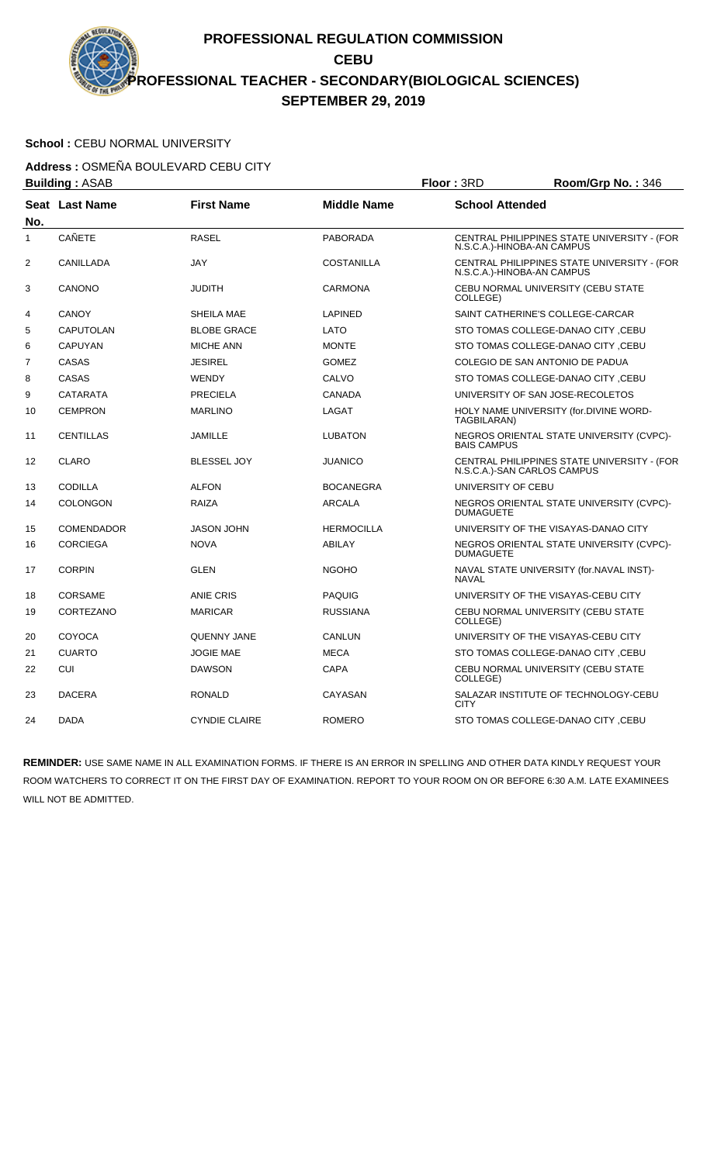### School : CEBU NORMAL UNIVERSITY

**Address :** OSMEÑA BOULEVARD CEBU CITY

| <b>Building: ASAB</b> |                       |                      |                    | Floor: 3RD                       | Room/Grp No.: 346                           |
|-----------------------|-----------------------|----------------------|--------------------|----------------------------------|---------------------------------------------|
| No.                   | <b>Seat Last Name</b> | <b>First Name</b>    | <b>Middle Name</b> | <b>School Attended</b>           |                                             |
| 1                     | <b>CAÑETE</b>         | <b>RASEL</b>         | <b>PABORADA</b>    | N.S.C.A.)-HINOBA-AN CAMPUS       | CENTRAL PHILIPPINES STATE UNIVERSITY - (FOR |
| $\overline{2}$        | CANILLADA             | <b>JAY</b>           | <b>COSTANILLA</b>  | N.S.C.A.)-HINOBA-AN CAMPUS       | CENTRAL PHILIPPINES STATE UNIVERSITY - (FOR |
| 3                     | CANONO                | <b>JUDITH</b>        | <b>CARMONA</b>     | COLLEGE)                         | CEBU NORMAL UNIVERSITY (CEBU STATE          |
| 4                     | <b>CANOY</b>          | SHEILA MAE           | <b>LAPINED</b>     | SAINT CATHERINE'S COLLEGE-CARCAR |                                             |
| 5                     | <b>CAPUTOLAN</b>      | <b>BLOBE GRACE</b>   | LATO               |                                  | STO TOMAS COLLEGE-DANAO CITY, CEBU          |
| 6                     | <b>CAPUYAN</b>        | <b>MICHE ANN</b>     | <b>MONTE</b>       |                                  | STO TOMAS COLLEGE-DANAO CITY ,CEBU          |
| $\overline{7}$        | CASAS                 | <b>JESIREL</b>       | <b>GOMEZ</b>       | COLEGIO DE SAN ANTONIO DE PADUA  |                                             |
| 8                     | CASAS                 | <b>WENDY</b>         | CALVO              |                                  | STO TOMAS COLLEGE-DANAO CITY, CEBU          |
| 9                     | <b>CATARATA</b>       | <b>PRECIELA</b>      | <b>CANADA</b>      | UNIVERSITY OF SAN JOSE-RECOLETOS |                                             |
| 10                    | <b>CEMPRON</b>        | <b>MARLINO</b>       | LAGAT              | TAGBILARAN)                      | HOLY NAME UNIVERSITY (for.DIVINE WORD-      |
| 11                    | <b>CENTILLAS</b>      | <b>JAMILLE</b>       | <b>LUBATON</b>     | <b>BAIS CAMPUS</b>               | NEGROS ORIENTAL STATE UNIVERSITY (CVPC)-    |
| 12                    | <b>CLARO</b>          | <b>BLESSEL JOY</b>   | <b>JUANICO</b>     | N.S.C.A.)-SAN CARLOS CAMPUS      | CENTRAL PHILIPPINES STATE UNIVERSITY - (FOR |
| 13                    | <b>CODILLA</b>        | <b>ALFON</b>         | <b>BOCANEGRA</b>   | UNIVERSITY OF CEBU               |                                             |
| 14                    | <b>COLONGON</b>       | <b>RAIZA</b>         | <b>ARCALA</b>      | <b>DUMAGUETE</b>                 | NEGROS ORIENTAL STATE UNIVERSITY (CVPC)-    |
| 15                    | <b>COMENDADOR</b>     | <b>JASON JOHN</b>    | <b>HERMOCILLA</b>  |                                  | UNIVERSITY OF THE VISAYAS-DANAO CITY        |
| 16                    | <b>CORCIEGA</b>       | <b>NOVA</b>          | <b>ABILAY</b>      | <b>DUMAGUETE</b>                 | NEGROS ORIENTAL STATE UNIVERSITY (CVPC)-    |
| 17                    | <b>CORPIN</b>         | <b>GLEN</b>          | <b>NGOHO</b>       | <b>NAVAL</b>                     | NAVAL STATE UNIVERSITY (for.NAVAL INST)-    |
| 18                    | <b>CORSAME</b>        | <b>ANIE CRIS</b>     | <b>PAQUIG</b>      |                                  | UNIVERSITY OF THE VISAYAS-CEBU CITY         |
| 19                    | CORTEZANO             | <b>MARICAR</b>       | <b>RUSSIANA</b>    | COLLEGE)                         | CEBU NORMAL UNIVERSITY (CEBU STATE          |
| 20                    | COYOCA                | <b>QUENNY JANE</b>   | CANLUN             |                                  | UNIVERSITY OF THE VISAYAS-CEBU CITY         |
| 21                    | <b>CUARTO</b>         | <b>JOGIE MAE</b>     | <b>MECA</b>        |                                  | STO TOMAS COLLEGE-DANAO CITY ,CEBU          |
| 22                    | <b>CUI</b>            | <b>DAWSON</b>        | CAPA               | COLLEGE)                         | CEBU NORMAL UNIVERSITY (CEBU STATE          |
| 23                    | <b>DACERA</b>         | <b>RONALD</b>        | <b>CAYASAN</b>     | <b>CITY</b>                      | SALAZAR INSTITUTE OF TECHNOLOGY-CEBU        |
| 24                    | <b>DADA</b>           | <b>CYNDIE CLAIRE</b> | <b>ROMERO</b>      |                                  | STO TOMAS COLLEGE-DANAO CITY, CEBU          |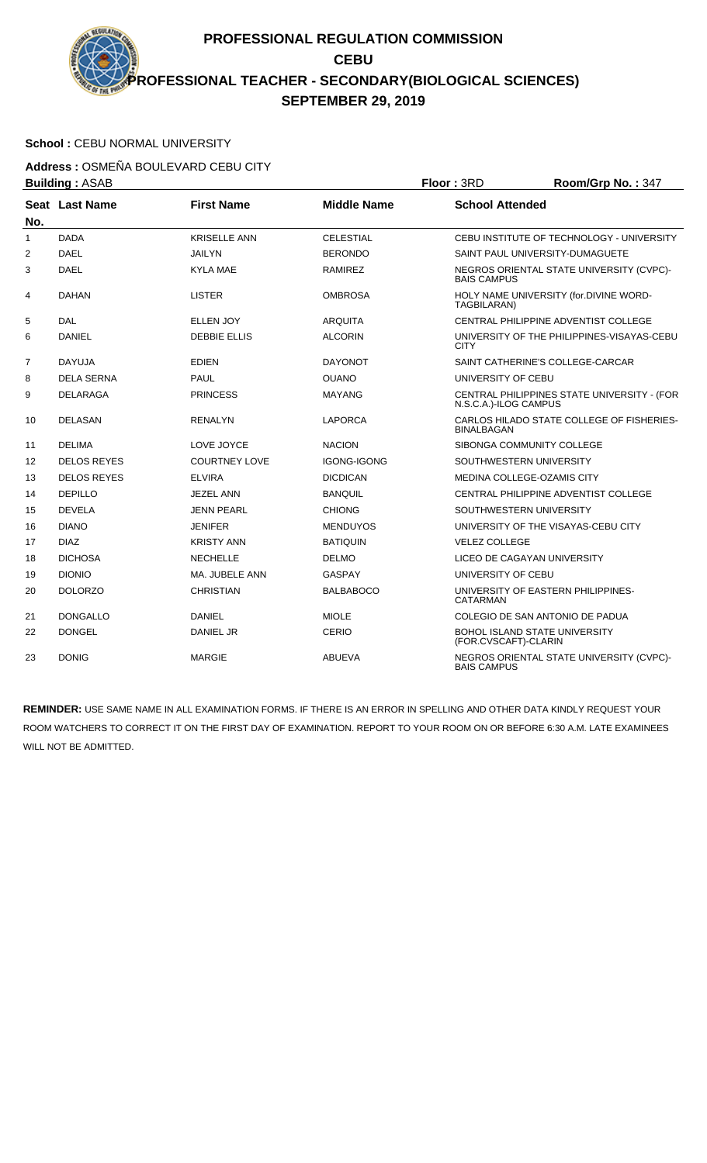# School : CEBU NORMAL UNIVERSITY

**Address :** OSMEÑA BOULEVARD CEBU CITY **Building :** ASAB **Floor :** 3RD **Room/Grp No. :** 347

|                | <b>DUILUILLY</b> . AOAD |                      |                    | שחט . ו <b>טטו</b><br><b>NUUIIIUUI U IVU.</b> . J41                  |
|----------------|-------------------------|----------------------|--------------------|----------------------------------------------------------------------|
| No.            | Seat Last Name          | <b>First Name</b>    | <b>Middle Name</b> | <b>School Attended</b>                                               |
| 1              | <b>DADA</b>             | <b>KRISELLE ANN</b>  | <b>CELESTIAL</b>   | CEBU INSTITUTE OF TECHNOLOGY - UNIVERSITY                            |
| 2              | <b>DAEL</b>             | <b>JAILYN</b>        | <b>BERONDO</b>     | SAINT PAUL UNIVERSITY-DUMAGUETE                                      |
| 3              | <b>DAEL</b>             | <b>KYLA MAE</b>      | <b>RAMIREZ</b>     | NEGROS ORIENTAL STATE UNIVERSITY (CVPC)-<br><b>BAIS CAMPUS</b>       |
| 4              | <b>DAHAN</b>            | <b>LISTER</b>        | <b>OMBROSA</b>     | HOLY NAME UNIVERSITY (for.DIVINE WORD-<br>TAGBILARAN)                |
| 5              | <b>DAL</b>              | <b>ELLEN JOY</b>     | <b>ARQUITA</b>     | CENTRAL PHILIPPINE ADVENTIST COLLEGE                                 |
| 6              | DANIEL                  | <b>DEBBIE ELLIS</b>  | <b>ALCORIN</b>     | UNIVERSITY OF THE PHILIPPINES-VISAYAS-CEBU<br><b>CITY</b>            |
| $\overline{7}$ | <b>DAYUJA</b>           | <b>EDIEN</b>         | <b>DAYONOT</b>     | SAINT CATHERINE'S COLLEGE-CARCAR                                     |
| 8              | <b>DELA SERNA</b>       | <b>PAUL</b>          | <b>OUANO</b>       | UNIVERSITY OF CEBU                                                   |
| 9              | <b>DELARAGA</b>         | <b>PRINCESS</b>      | <b>MAYANG</b>      | CENTRAL PHILIPPINES STATE UNIVERSITY - (FOR<br>N.S.C.A.)-ILOG CAMPUS |
| 10             | <b>DELASAN</b>          | <b>RENALYN</b>       | <b>LAPORCA</b>     | CARLOS HILADO STATE COLLEGE OF FISHERIES-<br><b>BINALBAGAN</b>       |
| 11             | <b>DELIMA</b>           | LOVE JOYCE           | <b>NACION</b>      | SIBONGA COMMUNITY COLLEGE                                            |
| 12             | <b>DELOS REYES</b>      | <b>COURTNEY LOVE</b> | <b>IGONG-IGONG</b> | SOUTHWESTERN UNIVERSITY                                              |
| 13             | <b>DELOS REYES</b>      | <b>ELVIRA</b>        | <b>DICDICAN</b>    | MEDINA COLLEGE-OZAMIS CITY                                           |
| 14             | <b>DEPILLO</b>          | <b>JEZEL ANN</b>     | <b>BANQUIL</b>     | CENTRAL PHILIPPINE ADVENTIST COLLEGE                                 |
| 15             | <b>DEVELA</b>           | <b>JENN PEARL</b>    | <b>CHIONG</b>      | SOUTHWESTERN UNIVERSITY                                              |
| 16             | <b>DIANO</b>            | <b>JENIFER</b>       | <b>MENDUYOS</b>    | UNIVERSITY OF THE VISAYAS-CEBU CITY                                  |
| 17             | <b>DIAZ</b>             | <b>KRISTY ANN</b>    | <b>BATIQUIN</b>    | <b>VELEZ COLLEGE</b>                                                 |
| 18             | <b>DICHOSA</b>          | <b>NECHELLE</b>      | <b>DELMO</b>       | LICEO DE CAGAYAN UNIVERSITY                                          |
| 19             | <b>DIONIO</b>           | MA. JUBELE ANN       | <b>GASPAY</b>      | UNIVERSITY OF CEBU                                                   |
| 20             | <b>DOLORZO</b>          | <b>CHRISTIAN</b>     | <b>BALBABOCO</b>   | UNIVERSITY OF EASTERN PHILIPPINES-<br><b>CATARMAN</b>                |
| 21             | <b>DONGALLO</b>         | <b>DANIEL</b>        | <b>MIOLE</b>       | COLEGIO DE SAN ANTONIO DE PADUA                                      |
| 22             | <b>DONGEL</b>           | DANIEL JR            | <b>CERIO</b>       | <b>BOHOL ISLAND STATE UNIVERSITY</b><br>(FOR.CVSCAFT)-CLARIN         |
| 23             | <b>DONIG</b>            | <b>MARGIE</b>        | <b>ABUEVA</b>      | NEGROS ORIENTAL STATE UNIVERSITY (CVPC)-<br><b>BAIS CAMPUS</b>       |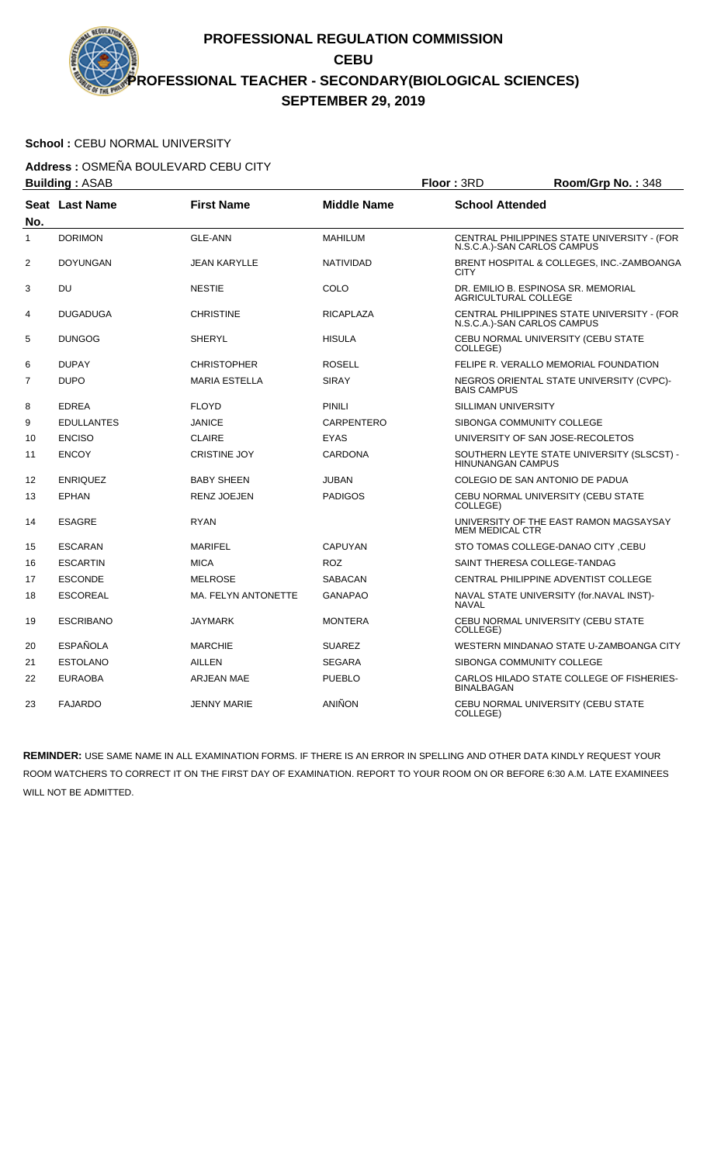### School : CEBU NORMAL UNIVERSITY

**Address :** OSMEÑA BOULEVARD CEBU CITY

|                | <b>Building: ASAB</b> |                      |                    | Floor: 3RD                  | Room/Grp No.: 348                                                          |
|----------------|-----------------------|----------------------|--------------------|-----------------------------|----------------------------------------------------------------------------|
| No.            | Seat Last Name        | <b>First Name</b>    | <b>Middle Name</b> | <b>School Attended</b>      |                                                                            |
| 1              | <b>DORIMON</b>        | <b>GLE-ANN</b>       | <b>MAHILUM</b>     |                             | CENTRAL PHILIPPINES STATE UNIVERSITY - (FOR<br>N.S.C.A.)-SAN CARLOS CAMPUS |
| $\overline{2}$ | <b>DOYUNGAN</b>       | <b>JEAN KARYLLE</b>  | <b>NATIVIDAD</b>   | <b>CITY</b>                 | BRENT HOSPITAL & COLLEGES, INC.-ZAMBOANGA                                  |
| 3              | DU                    | <b>NESTIE</b>        | COLO               | <b>AGRICULTURAL COLLEGE</b> | DR. EMILIO B. ESPINOSA SR. MEMORIAL                                        |
| 4              | <b>DUGADUGA</b>       | <b>CHRISTINE</b>     | <b>RICAPLAZA</b>   |                             | CENTRAL PHILIPPINES STATE UNIVERSITY - (FOR<br>N.S.C.A.)-SAN CARLOS CAMPUS |
| 5              | <b>DUNGOG</b>         | <b>SHERYL</b>        | <b>HISULA</b>      | COLLEGE)                    | CEBU NORMAL UNIVERSITY (CEBU STATE                                         |
| 6              | <b>DUPAY</b>          | <b>CHRISTOPHER</b>   | <b>ROSELL</b>      |                             | FELIPE R. VERALLO MEMORIAL FOUNDATION                                      |
| $\overline{7}$ | <b>DUPO</b>           | <b>MARIA ESTELLA</b> | <b>SIRAY</b>       | <b>BAIS CAMPUS</b>          | NEGROS ORIENTAL STATE UNIVERSITY (CVPC)-                                   |
| 8              | <b>EDREA</b>          | <b>FLOYD</b>         | <b>PINILI</b>      | <b>SILLIMAN UNIVERSITY</b>  |                                                                            |
| 9              | <b>EDULLANTES</b>     | <b>JANICE</b>        | CARPENTERO         |                             | SIBONGA COMMUNITY COLLEGE                                                  |
| 10             | <b>ENCISO</b>         | <b>CLAIRE</b>        | <b>EYAS</b>        |                             | UNIVERSITY OF SAN JOSE-RECOLETOS                                           |
| 11             | <b>ENCOY</b>          | <b>CRISTINE JOY</b>  | <b>CARDONA</b>     | <b>HINUNANGAN CAMPUS</b>    | SOUTHERN LEYTE STATE UNIVERSITY (SLSCST) -                                 |
| 12             | <b>ENRIQUEZ</b>       | <b>BABY SHEEN</b>    | <b>JUBAN</b>       |                             | COLEGIO DE SAN ANTONIO DE PADUA                                            |
| 13             | <b>EPHAN</b>          | <b>RENZ JOEJEN</b>   | <b>PADIGOS</b>     | COLLEGE)                    | CEBU NORMAL UNIVERSITY (CEBU STATE                                         |
| 14             | <b>ESAGRE</b>         | <b>RYAN</b>          |                    | <b>MEM MEDICAL CTR</b>      | UNIVERSITY OF THE EAST RAMON MAGSAYSAY                                     |
| 15             | <b>ESCARAN</b>        | <b>MARIFEL</b>       | <b>CAPUYAN</b>     |                             | STO TOMAS COLLEGE-DANAO CITY, CEBU                                         |
| 16             | <b>ESCARTIN</b>       | <b>MICA</b>          | <b>ROZ</b>         |                             | SAINT THERESA COLLEGE-TANDAG                                               |
| 17             | <b>ESCONDE</b>        | <b>MELROSE</b>       | <b>SABACAN</b>     |                             | CENTRAL PHILIPPINE ADVENTIST COLLEGE                                       |
| 18             | <b>ESCOREAL</b>       | MA. FELYN ANTONETTE  | <b>GANAPAO</b>     | <b>NAVAL</b>                | NAVAL STATE UNIVERSITY (for.NAVAL INST)-                                   |
| 19             | <b>ESCRIBANO</b>      | JAYMARK              | <b>MONTERA</b>     | COLLEGE)                    | CEBU NORMAL UNIVERSITY (CEBU STATE                                         |
| 20             | <b>ESPAÑOLA</b>       | <b>MARCHIE</b>       | <b>SUAREZ</b>      |                             | WESTERN MINDANAO STATE U-ZAMBOANGA CITY                                    |
| 21             | <b>ESTOLANO</b>       | AILLEN               | <b>SEGARA</b>      |                             | SIBONGA COMMUNITY COLLEGE                                                  |
| 22             | <b>EURAOBA</b>        | <b>ARJEAN MAE</b>    | <b>PUEBLO</b>      | <b>BINALBAGAN</b>           | CARLOS HILADO STATE COLLEGE OF FISHERIES-                                  |
| 23             | <b>FAJARDO</b>        | <b>JENNY MARIE</b>   | ANIÑON             | COLLEGE)                    | CEBU NORMAL UNIVERSITY (CEBU STATE                                         |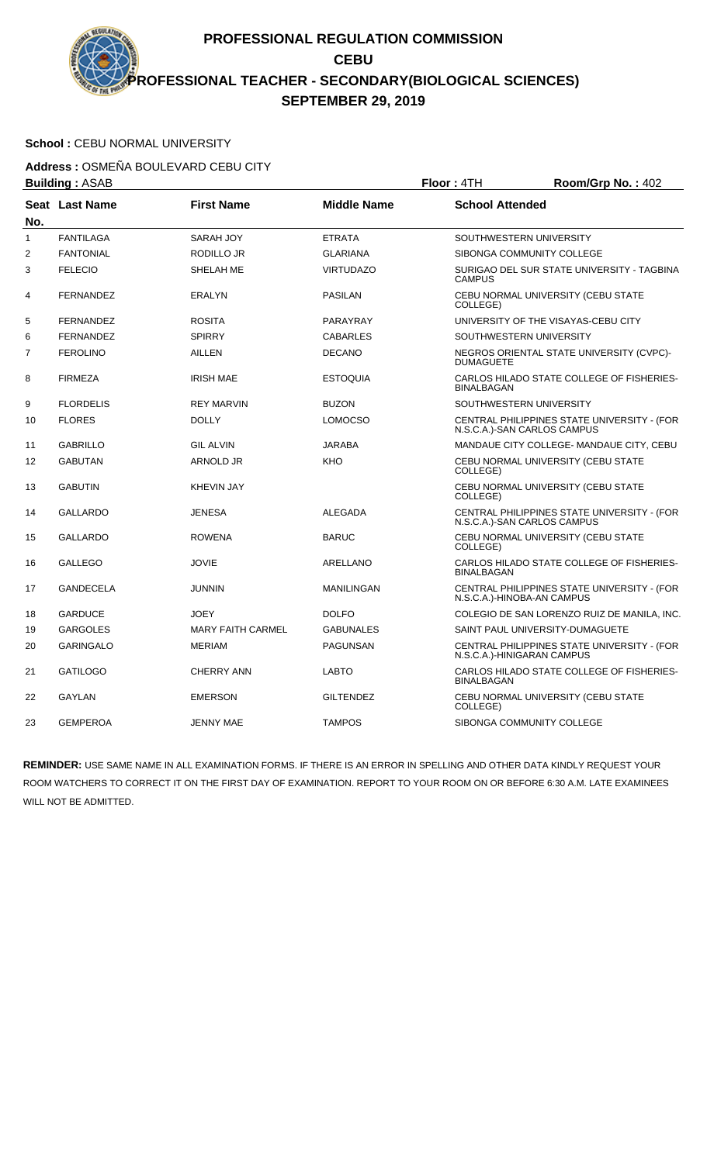# School : CEBU NORMAL UNIVERSITY

**Address :** OSMEÑA BOULEVARD CEBU CITY

| <b>Building: ASAB</b> |                       |                          | Floor: 4TH         | Room/Grp No.: 402      |                                                                            |
|-----------------------|-----------------------|--------------------------|--------------------|------------------------|----------------------------------------------------------------------------|
| No.                   | <b>Seat Last Name</b> | <b>First Name</b>        | <b>Middle Name</b> | <b>School Attended</b> |                                                                            |
| $\mathbf{1}$          | <b>FANTILAGA</b>      | SARAH JOY                | <b>ETRATA</b>      |                        | SOUTHWESTERN UNIVERSITY                                                    |
| 2                     | <b>FANTONIAL</b>      | RODILLO JR               | <b>GLARIANA</b>    |                        | SIBONGA COMMUNITY COLLEGE                                                  |
| 3                     | <b>FELECIO</b>        | SHELAH ME                | <b>VIRTUDAZO</b>   | <b>CAMPUS</b>          | SURIGAO DEL SUR STATE UNIVERSITY - TAGBINA                                 |
| 4                     | <b>FERNANDEZ</b>      | <b>ERALYN</b>            | <b>PASILAN</b>     | COLLEGE)               | CEBU NORMAL UNIVERSITY (CEBU STATE                                         |
| 5                     | <b>FERNANDEZ</b>      | <b>ROSITA</b>            | PARAYRAY           |                        | UNIVERSITY OF THE VISAYAS-CEBU CITY                                        |
| 6                     | <b>FERNANDEZ</b>      | <b>SPIRRY</b>            | <b>CABARLES</b>    |                        | SOUTHWESTERN UNIVERSITY                                                    |
| 7                     | <b>FEROLINO</b>       | AILLEN                   | <b>DECANO</b>      | <b>DUMAGUETE</b>       | NEGROS ORIENTAL STATE UNIVERSITY (CVPC)-                                   |
| 8                     | <b>FIRMEZA</b>        | <b>IRISH MAE</b>         | <b>ESTOQUIA</b>    | <b>BINALBAGAN</b>      | CARLOS HILADO STATE COLLEGE OF FISHERIES-                                  |
| 9                     | <b>FLORDELIS</b>      | <b>REY MARVIN</b>        | <b>BUZON</b>       |                        | SOUTHWESTERN UNIVERSITY                                                    |
| 10                    | <b>FLORES</b>         | <b>DOLLY</b>             | <b>LOMOCSO</b>     |                        | CENTRAL PHILIPPINES STATE UNIVERSITY - (FOR<br>N.S.C.A.)-SAN CARLOS CAMPUS |
| 11                    | <b>GABRILLO</b>       | <b>GIL ALVIN</b>         | <b>JARABA</b>      |                        | MANDAUE CITY COLLEGE- MANDAUE CITY, CEBU                                   |
| 12                    | <b>GABUTAN</b>        | <b>ARNOLD JR</b>         | KHO                | COLLEGE)               | CEBU NORMAL UNIVERSITY (CEBU STATE                                         |
| 13                    | <b>GABUTIN</b>        | <b>KHEVIN JAY</b>        |                    | COLLEGE)               | CEBU NORMAL UNIVERSITY (CEBU STATE                                         |
| 14                    | <b>GALLARDO</b>       | <b>JENESA</b>            | <b>ALEGADA</b>     |                        | CENTRAL PHILIPPINES STATE UNIVERSITY - (FOR<br>N.S.C.A.)-SAN CARLOS CAMPUS |
| 15                    | <b>GALLARDO</b>       | <b>ROWENA</b>            | <b>BARUC</b>       | COLLEGE)               | CEBU NORMAL UNIVERSITY (CEBU STATE                                         |
| 16                    | <b>GALLEGO</b>        | <b>JOVIE</b>             | <b>ARELLANO</b>    | <b>BINALBAGAN</b>      | CARLOS HILADO STATE COLLEGE OF FISHERIES-                                  |
| 17                    | <b>GANDECELA</b>      | <b>JUNNIN</b>            | <b>MANILINGAN</b>  |                        | CENTRAL PHILIPPINES STATE UNIVERSITY - (FOR<br>N.S.C.A.)-HINOBA-AN CAMPUS  |
| 18                    | <b>GARDUCE</b>        | <b>JOEY</b>              | <b>DOLFO</b>       |                        | COLEGIO DE SAN LORENZO RUIZ DE MANILA, INC.                                |
| 19                    | <b>GARGOLES</b>       | <b>MARY FAITH CARMEL</b> | <b>GABUNALES</b>   |                        | SAINT PAUL UNIVERSITY-DUMAGUETE                                            |
| 20                    | <b>GARINGALO</b>      | <b>MERIAM</b>            | <b>PAGUNSAN</b>    |                        | CENTRAL PHILIPPINES STATE UNIVERSITY - (FOR<br>N.S.C.A.)-HINIGARAN CAMPUS  |
| 21                    | <b>GATILOGO</b>       | <b>CHERRY ANN</b>        | <b>LABTO</b>       | <b>BINALBAGAN</b>      | CARLOS HILADO STATE COLLEGE OF FISHERIES-                                  |
| 22                    | <b>GAYLAN</b>         | <b>EMERSON</b>           | <b>GILTENDEZ</b>   | COLLEGE)               | CEBU NORMAL UNIVERSITY (CEBU STATE                                         |
| 23                    | <b>GEMPEROA</b>       | <b>JENNY MAE</b>         | <b>TAMPOS</b>      |                        | SIBONGA COMMUNITY COLLEGE                                                  |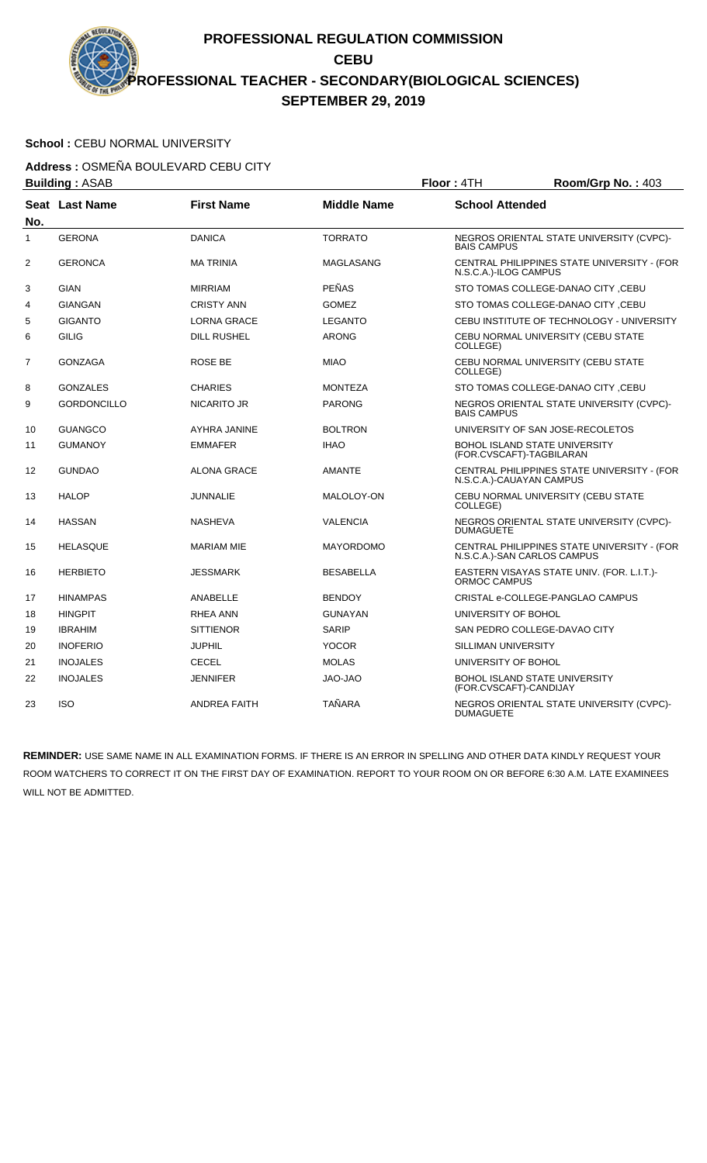### School : CEBU NORMAL UNIVERSITY

**Address :** OSMEÑA BOULEVARD CEBU CITY

| <b>Building: ASAB</b><br>Floor: 4TH |                       |                     | Room/Grp No.: 403  |                        |                                                                            |
|-------------------------------------|-----------------------|---------------------|--------------------|------------------------|----------------------------------------------------------------------------|
| No.                                 | <b>Seat Last Name</b> | <b>First Name</b>   | <b>Middle Name</b> | <b>School Attended</b> |                                                                            |
| 1                                   | <b>GERONA</b>         | <b>DANICA</b>       | <b>TORRATO</b>     | <b>BAIS CAMPUS</b>     | NEGROS ORIENTAL STATE UNIVERSITY (CVPC)-                                   |
| 2                                   | <b>GERONCA</b>        | <b>MA TRINIA</b>    | <b>MAGLASANG</b>   | N.S.C.A.)-ILOG CAMPUS  | CENTRAL PHILIPPINES STATE UNIVERSITY - (FOR                                |
| 3                                   | <b>GIAN</b>           | <b>MIRRIAM</b>      | <b>PEÑAS</b>       |                        | STO TOMAS COLLEGE-DANAO CITY, CEBU                                         |
| 4                                   | <b>GIANGAN</b>        | <b>CRISTY ANN</b>   | <b>GOMEZ</b>       |                        | STO TOMAS COLLEGE-DANAO CITY, CEBU                                         |
| 5                                   | <b>GIGANTO</b>        | <b>LORNA GRACE</b>  | <b>LEGANTO</b>     |                        | CEBU INSTITUTE OF TECHNOLOGY - UNIVERSITY                                  |
| 6                                   | <b>GILIG</b>          | <b>DILL RUSHEL</b>  | <b>ARONG</b>       | COLLEGE)               | CEBU NORMAL UNIVERSITY (CEBU STATE                                         |
| 7                                   | <b>GONZAGA</b>        | <b>ROSE BE</b>      | <b>MIAO</b>        | COLLEGE)               | CEBU NORMAL UNIVERSITY (CEBU STATE                                         |
| 8                                   | <b>GONZALES</b>       | <b>CHARIES</b>      | <b>MONTEZA</b>     |                        | STO TOMAS COLLEGE-DANAO CITY ,CEBU                                         |
| 9                                   | <b>GORDONCILLO</b>    | <b>NICARITO JR</b>  | <b>PARONG</b>      | <b>BAIS CAMPUS</b>     | NEGROS ORIENTAL STATE UNIVERSITY (CVPC)-                                   |
| 10                                  | <b>GUANGCO</b>        | AYHRA JANINE        | <b>BOLTRON</b>     |                        | UNIVERSITY OF SAN JOSE-RECOLETOS                                           |
| 11                                  | <b>GUMANOY</b>        | <b>EMMAFER</b>      | <b>IHAO</b>        |                        | <b>BOHOL ISLAND STATE UNIVERSITY</b><br>(FOR.CVSCAFT)-TAGBILARAN           |
| 12                                  | <b>GUNDAO</b>         | <b>ALONA GRACE</b>  | <b>AMANTE</b>      |                        | CENTRAL PHILIPPINES STATE UNIVERSITY - (FOR<br>N.S.C.A.)-CAUAYAN CAMPUS    |
| 13                                  | <b>HALOP</b>          | <b>JUNNALIE</b>     | MALOLOY-ON         | COLLEGE)               | CEBU NORMAL UNIVERSITY (CEBU STATE                                         |
| 14                                  | <b>HASSAN</b>         | <b>NASHEVA</b>      | <b>VALENCIA</b>    | <b>DUMAGUETE</b>       | NEGROS ORIENTAL STATE UNIVERSITY (CVPC)-                                   |
| 15                                  | <b>HELASQUE</b>       | <b>MARIAM MIE</b>   | <b>MAYORDOMO</b>   |                        | CENTRAL PHILIPPINES STATE UNIVERSITY - (FOR<br>N.S.C.A.)-SAN CARLOS CAMPUS |
| 16                                  | <b>HERBIETO</b>       | <b>JESSMARK</b>     | <b>BESABELLA</b>   | ORMOC CAMPUS           | EASTERN VISAYAS STATE UNIV. (FOR. L.I.T.)-                                 |
| 17                                  | <b>HINAMPAS</b>       | <b>ANABELLE</b>     | <b>BENDOY</b>      |                        | CRISTAL e-COLLEGE-PANGLAO CAMPUS                                           |
| 18                                  | <b>HINGPIT</b>        | <b>RHEA ANN</b>     | <b>GUNAYAN</b>     | UNIVERSITY OF BOHOL    |                                                                            |
| 19                                  | <b>IBRAHIM</b>        | <b>SITTIENOR</b>    | <b>SARIP</b>       |                        | SAN PEDRO COLLEGE-DAVAO CITY                                               |
| 20                                  | <b>INOFERIO</b>       | <b>JUPHIL</b>       | <b>YOCOR</b>       | SILLIMAN UNIVERSITY    |                                                                            |
| 21                                  | <b>INOJALES</b>       | <b>CECEL</b>        | <b>MOLAS</b>       | UNIVERSITY OF BOHOL    |                                                                            |
| 22                                  | <b>INOJALES</b>       | <b>JENNIFER</b>     | <b>OAL-OAL</b>     | (FOR.CVSCAFT)-CANDIJAY | BOHOL ISLAND STATE UNIVERSITY                                              |
| 23                                  | <b>ISO</b>            | <b>ANDREA FAITH</b> | <b>TAÑARA</b>      | DUMAGUETE              | NEGROS ORIENTAL STATE UNIVERSITY (CVPC)-                                   |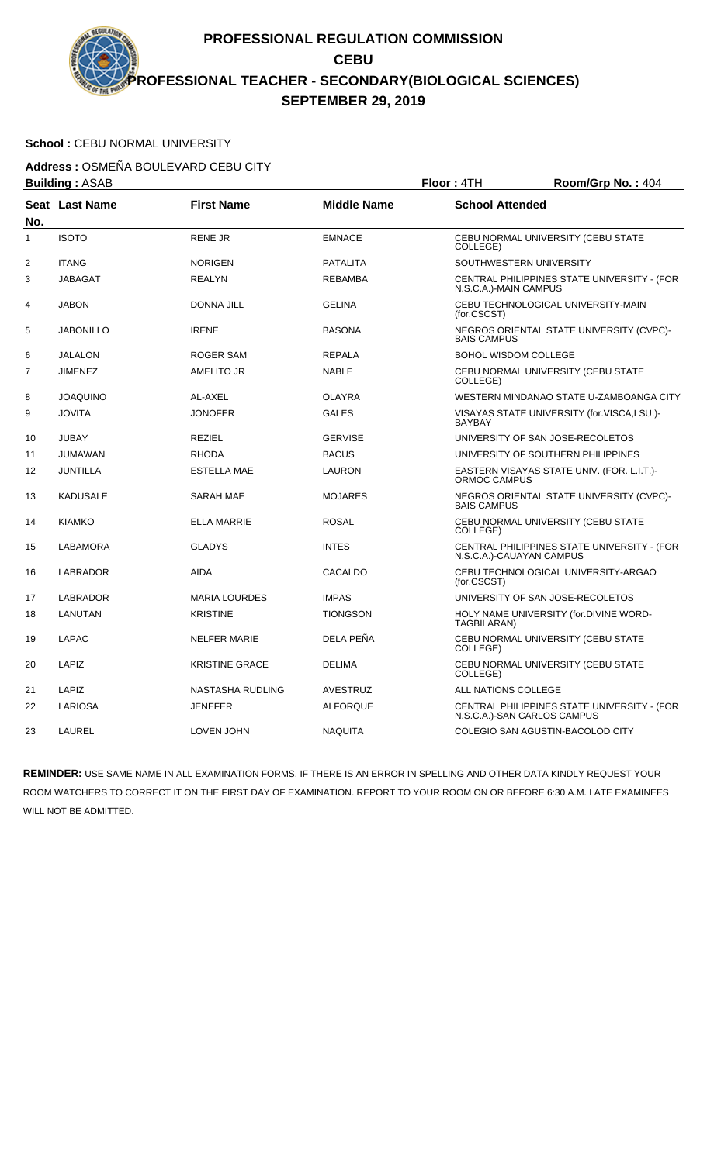# School : CEBU NORMAL UNIVERSITY

**Address :** OSMEÑA BOULEVARD CEBU CITY **Building :** ASAB **Floor :** 4TH **Room/Grp No. :** 404

|     | Dullully . AJAD  |                       |                    | <b>FIUUL 4111</b>                | <b>NUUIIIIUI µ INU.</b> . 404               |
|-----|------------------|-----------------------|--------------------|----------------------------------|---------------------------------------------|
| No. | Seat Last Name   | <b>First Name</b>     | <b>Middle Name</b> | <b>School Attended</b>           |                                             |
| 1   | <b>ISOTO</b>     | <b>RENE JR</b>        | <b>EMNACE</b>      | COLLEGE)                         | CEBU NORMAL UNIVERSITY (CEBU STATE          |
| 2   | <b>ITANG</b>     | <b>NORIGEN</b>        | PATALITA           | SOUTHWESTERN UNIVERSITY          |                                             |
| 3   | <b>JABAGAT</b>   | <b>REALYN</b>         | <b>REBAMBA</b>     | N.S.C.A.)-MAIN CAMPUS            | CENTRAL PHILIPPINES STATE UNIVERSITY - (FOR |
| 4   | <b>JABON</b>     | <b>DONNA JILL</b>     | <b>GELINA</b>      | (for.CSCST)                      | CEBU TECHNOLOGICAL UNIVERSITY-MAIN          |
| 5   | <b>JABONILLO</b> | <b>IRENE</b>          | <b>BASONA</b>      | <b>BAIS CAMPUS</b>               | NEGROS ORIENTAL STATE UNIVERSITY (CVPC)-    |
| 6   | <b>JALALON</b>   | <b>ROGER SAM</b>      | <b>REPALA</b>      | <b>BOHOL WISDOM COLLEGE</b>      |                                             |
| 7   | <b>JIMENEZ</b>   | AMELITO JR            | <b>NABLE</b>       | COLLEGE)                         | CEBU NORMAL UNIVERSITY (CEBU STATE          |
| 8   | <b>JOAQUINO</b>  | AL-AXEL               | <b>OLAYRA</b>      |                                  | WESTERN MINDANAO STATE U-ZAMBOANGA CITY     |
| 9   | <b>JOVITA</b>    | <b>JONOFER</b>        | <b>GALES</b>       | <b>BAYBAY</b>                    | VISAYAS STATE UNIVERSITY (for.VISCA,LSU.)-  |
| 10  | <b>JUBAY</b>     | <b>REZIEL</b>         | <b>GERVISE</b>     | UNIVERSITY OF SAN JOSE-RECOLETOS |                                             |
| 11  | <b>JUMAWAN</b>   | <b>RHODA</b>          | <b>BACUS</b>       |                                  | UNIVERSITY OF SOUTHERN PHILIPPINES          |
| 12  | JUNTILLA         | <b>ESTELLA MAE</b>    | LAURON             | ORMOC CAMPUS                     | EASTERN VISAYAS STATE UNIV. (FOR. L.I.T.)-  |
| 13  | <b>KADUSALE</b>  | <b>SARAH MAE</b>      | <b>MOJARES</b>     | <b>BAIS CAMPUS</b>               | NEGROS ORIENTAL STATE UNIVERSITY (CVPC)-    |
| 14  | <b>KIAMKO</b>    | <b>ELLA MARRIE</b>    | <b>ROSAL</b>       | COLLEGE)                         | CEBU NORMAL UNIVERSITY (CEBU STATE          |
| 15  | LABAMORA         | <b>GLADYS</b>         | <b>INTES</b>       | N.S.C.A.)-CAUAYAN CAMPUS         | CENTRAL PHILIPPINES STATE UNIVERSITY - (FOR |
| 16  | <b>LABRADOR</b>  | <b>AIDA</b>           | CACALDO            | (for.CSCST)                      | CEBU TECHNOLOGICAL UNIVERSITY-ARGAO         |
| 17  | LABRADOR         | <b>MARIA LOURDES</b>  | <b>IMPAS</b>       | UNIVERSITY OF SAN JOSE-RECOLETOS |                                             |
| 18  | LANUTAN          | <b>KRISTINE</b>       | <b>TIONGSON</b>    | TAGBILARAN)                      | HOLY NAME UNIVERSITY (for.DIVINE WORD-      |
| 19  | LAPAC            | <b>NELFER MARIE</b>   | DELA PEÑA          | COLLEGE)                         | CEBU NORMAL UNIVERSITY (CEBU STATE          |
| 20  | LAPIZ            | <b>KRISTINE GRACE</b> | <b>DELIMA</b>      | COLLEGE)                         | CEBU NORMAL UNIVERSITY (CEBU STATE          |
| 21  | LAPIZ            | NASTASHA RUDLING      | <b>AVESTRUZ</b>    | ALL NATIONS COLLEGE              |                                             |
| 22  | <b>LARIOSA</b>   | <b>JENEFER</b>        | <b>ALFORQUE</b>    | N.S.C.A.)-SAN CARLOS CAMPUS      | CENTRAL PHILIPPINES STATE UNIVERSITY - (FOR |
| 23  | <b>LAUREL</b>    | <b>LOVEN JOHN</b>     | <b>NAQUITA</b>     | COLEGIO SAN AGUSTIN-BACOLOD CITY |                                             |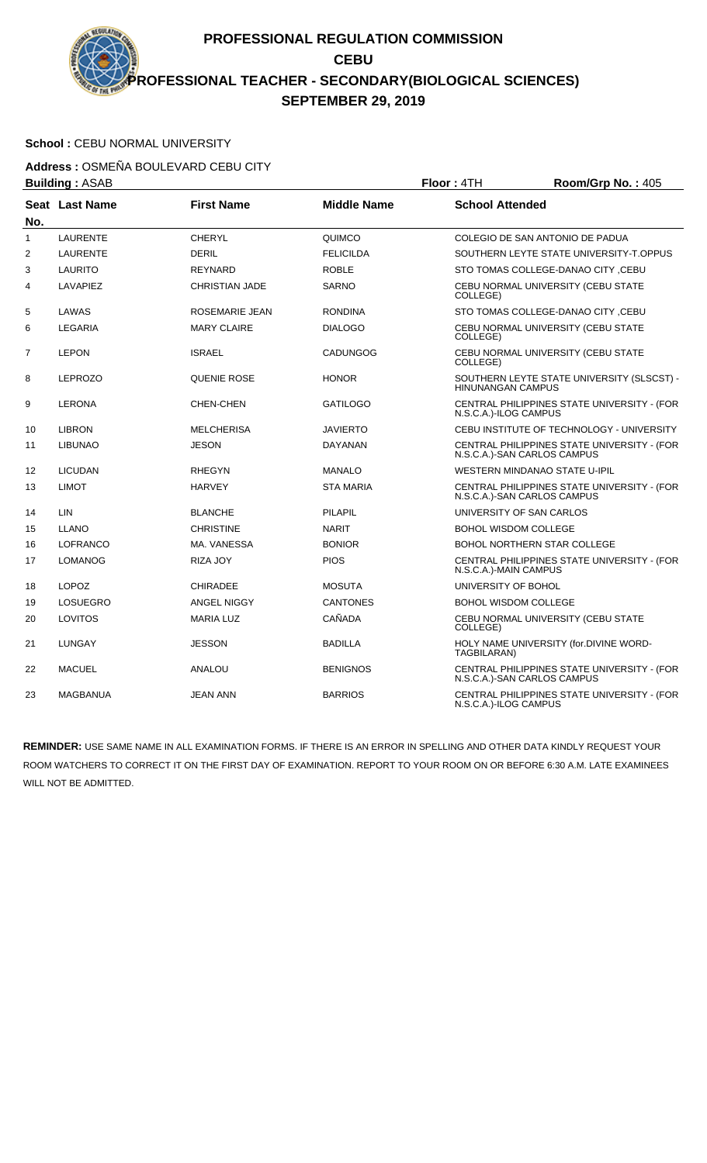# School : CEBU NORMAL UNIVERSITY

**Address :** OSMEÑA BOULEVARD CEBU CITY

| <b>Building: ASAB</b><br>Floor: 4TH |                       |                       | Room/Grp No.: 405  |                             |                                                                            |
|-------------------------------------|-----------------------|-----------------------|--------------------|-----------------------------|----------------------------------------------------------------------------|
| No.                                 | <b>Seat Last Name</b> | <b>First Name</b>     | <b>Middle Name</b> | <b>School Attended</b>      |                                                                            |
| $\mathbf{1}$                        | <b>LAURENTE</b>       | <b>CHERYL</b>         | QUIMCO             |                             | COLEGIO DE SAN ANTONIO DE PADUA                                            |
| 2                                   | <b>LAURENTE</b>       | <b>DERIL</b>          | <b>FELICILDA</b>   |                             | SOUTHERN LEYTE STATE UNIVERSITY-T.OPPUS                                    |
| 3                                   | LAURITO               | <b>REYNARD</b>        | <b>ROBLE</b>       |                             | STO TOMAS COLLEGE-DANAO CITY .CEBU                                         |
| 4                                   | <b>LAVAPIEZ</b>       | <b>CHRISTIAN JADE</b> | <b>SARNO</b>       | COLLEGE)                    | CEBU NORMAL UNIVERSITY (CEBU STATE                                         |
| 5                                   | LAWAS                 | ROSEMARIE JEAN        | <b>RONDINA</b>     |                             | STO TOMAS COLLEGE-DANAO CITY ,CEBU                                         |
| 6                                   | LEGARIA               | <b>MARY CLAIRE</b>    | <b>DIALOGO</b>     | COLLEGE)                    | CEBU NORMAL UNIVERSITY (CEBU STATE                                         |
| $\overline{7}$                      | <b>LEPON</b>          | <b>ISRAEL</b>         | <b>CADUNGOG</b>    | COLLEGE)                    | CEBU NORMAL UNIVERSITY (CEBU STATE                                         |
| 8                                   | <b>LEPROZO</b>        | QUENIE ROSE           | <b>HONOR</b>       | <b>HINUNANGAN CAMPUS</b>    | SOUTHERN LEYTE STATE UNIVERSITY (SLSCST) -                                 |
| 9                                   | <b>LERONA</b>         | <b>CHEN-CHEN</b>      | <b>GATILOGO</b>    | N.S.C.A.)-ILOG CAMPUS       | CENTRAL PHILIPPINES STATE UNIVERSITY - (FOR                                |
| 10                                  | <b>LIBRON</b>         | <b>MELCHERISA</b>     | <b>JAVIERTO</b>    |                             | CEBU INSTITUTE OF TECHNOLOGY - UNIVERSITY                                  |
| 11                                  | <b>LIBUNAO</b>        | <b>JESON</b>          | DAYANAN            |                             | CENTRAL PHILIPPINES STATE UNIVERSITY - (FOR<br>N.S.C.A.)-SAN CARLOS CAMPUS |
| 12                                  | <b>LICUDAN</b>        | <b>RHEGYN</b>         | <b>MANALO</b>      |                             | WESTERN MINDANAO STATE U-IPIL                                              |
| 13                                  | <b>LIMOT</b>          | <b>HARVEY</b>         | <b>STA MARIA</b>   |                             | CENTRAL PHILIPPINES STATE UNIVERSITY - (FOR<br>N.S.C.A.)-SAN CARLOS CAMPUS |
| 14                                  | LIN                   | <b>BLANCHE</b>        | <b>PILAPIL</b>     | UNIVERSITY OF SAN CARLOS    |                                                                            |
| 15                                  | <b>LLANO</b>          | <b>CHRISTINE</b>      | <b>NARIT</b>       | <b>BOHOL WISDOM COLLEGE</b> |                                                                            |
| 16                                  | <b>LOFRANCO</b>       | MA. VANESSA           | <b>BONIOR</b>      |                             | <b>BOHOL NORTHERN STAR COLLEGE</b>                                         |
| 17                                  | <b>LOMANOG</b>        | RIZA JOY              | <b>PIOS</b>        | N.S.C.A.)-MAIN CAMPUS       | CENTRAL PHILIPPINES STATE UNIVERSITY - (FOR                                |
| 18                                  | <b>LOPOZ</b>          | <b>CHIRADEE</b>       | <b>MOSUTA</b>      | UNIVERSITY OF BOHOL         |                                                                            |
| 19                                  | <b>LOSUEGRO</b>       | ANGEL NIGGY           | <b>CANTONES</b>    | <b>BOHOL WISDOM COLLEGE</b> |                                                                            |
| 20                                  | LOVITOS               | <b>MARIA LUZ</b>      | CAÑADA             | COLLEGE)                    | CEBU NORMAL UNIVERSITY (CEBU STATE                                         |
| 21                                  | <b>LUNGAY</b>         | <b>JESSON</b>         | <b>BADILLA</b>     | TAGBILARAN)                 | HOLY NAME UNIVERSITY (for.DIVINE WORD-                                     |
| 22                                  | <b>MACUEL</b>         | ANALOU                | <b>BENIGNOS</b>    |                             | CENTRAL PHILIPPINES STATE UNIVERSITY - (FOR<br>N.S.C.A.)-SAN CARLOS CAMPUS |
| 23                                  | <b>MAGBANUA</b>       | <b>JEAN ANN</b>       | <b>BARRIOS</b>     | N.S.C.A.)-ILOG CAMPUS       | CENTRAL PHILIPPINES STATE UNIVERSITY - (FOR                                |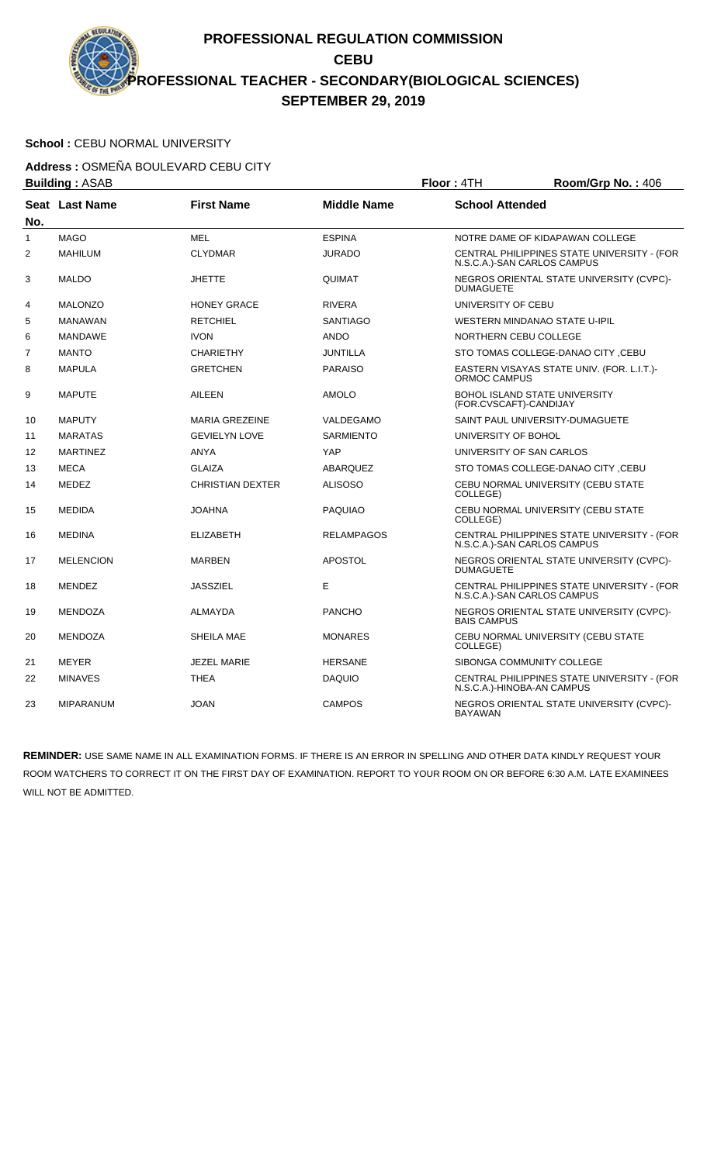### School : CEBU NORMAL UNIVERSITY

**Address :** OSMEÑA BOULEVARD CEBU CITY **Building :** ASAB **Floor :** 4TH **Room/Grp No. :** 406

|                | DUIIUIIIY . AJAD |                         |                    | FIUUI . 4111                                                   | <b>NUUIIIIUI U INU.</b> . 400               |
|----------------|------------------|-------------------------|--------------------|----------------------------------------------------------------|---------------------------------------------|
| No.            | Seat Last Name   | <b>First Name</b>       | <b>Middle Name</b> | <b>School Attended</b>                                         |                                             |
| $\mathbf{1}$   | <b>MAGO</b>      | <b>MEL</b>              | <b>ESPINA</b>      | NOTRE DAME OF KIDAPAWAN COLLEGE                                |                                             |
| $\overline{2}$ | <b>MAHILUM</b>   | <b>CLYDMAR</b>          | <b>JURADO</b>      | N.S.C.A.)-SAN CARLOS CAMPUS                                    | CENTRAL PHILIPPINES STATE UNIVERSITY - (FOR |
| 3              | <b>MALDO</b>     | <b>JHETTE</b>           | QUIMAT             | <b>DUMAGUETE</b>                                               | NEGROS ORIENTAL STATE UNIVERSITY (CVPC)-    |
| 4              | <b>MALONZO</b>   | <b>HONEY GRACE</b>      | <b>RIVERA</b>      | UNIVERSITY OF CEBU                                             |                                             |
| 5              | <b>MANAWAN</b>   | <b>RETCHIEL</b>         | <b>SANTIAGO</b>    | WESTERN MINDANAO STATE U-IPIL                                  |                                             |
| 6              | <b>MANDAWE</b>   | <b>IVON</b>             | <b>ANDO</b>        | NORTHERN CEBU COLLEGE                                          |                                             |
| 7              | <b>MANTO</b>     | <b>CHARIETHY</b>        | <b>JUNTILLA</b>    |                                                                | STO TOMAS COLLEGE-DANAO CITY, CEBU          |
| 8              | <b>MAPULA</b>    | <b>GRETCHEN</b>         | <b>PARAISO</b>     | ORMOC CAMPUS                                                   | EASTERN VISAYAS STATE UNIV. (FOR. L.I.T.)-  |
| 9              | <b>MAPUTE</b>    | <b>AILEEN</b>           | <b>AMOLO</b>       | <b>BOHOL ISLAND STATE UNIVERSITY</b><br>(FOR.CVSCAFT)-CANDIJAY |                                             |
| 10             | <b>MAPUTY</b>    | <b>MARIA GREZEINE</b>   | VALDEGAMO          | SAINT PAUL UNIVERSITY-DUMAGUETE                                |                                             |
| 11             | <b>MARATAS</b>   | <b>GEVIELYN LOVE</b>    | <b>SARMIENTO</b>   | UNIVERSITY OF BOHOL                                            |                                             |
| 12             | <b>MARTINEZ</b>  | <b>ANYA</b>             | YAP                | UNIVERSITY OF SAN CARLOS                                       |                                             |
| 13             | <b>MECA</b>      | <b>GLAIZA</b>           | ABARQUEZ           |                                                                | STO TOMAS COLLEGE-DANAO CITY, CEBU          |
| 14             | <b>MEDEZ</b>     | <b>CHRISTIAN DEXTER</b> | <b>ALISOSO</b>     | COLLEGE)                                                       | CEBU NORMAL UNIVERSITY (CEBU STATE          |
| 15             | <b>MEDIDA</b>    | <b>JOAHNA</b>           | <b>PAQUIAO</b>     | COLLEGE)                                                       | CEBU NORMAL UNIVERSITY (CEBU STATE          |
| 16             | <b>MEDINA</b>    | <b>ELIZABETH</b>        | <b>RELAMPAGOS</b>  | N.S.C.A.)-SAN CARLOS CAMPUS                                    | CENTRAL PHILIPPINES STATE UNIVERSITY - (FOR |
| 17             | <b>MELENCION</b> | <b>MARBEN</b>           | <b>APOSTOL</b>     | <b>DUMAGUETE</b>                                               | NEGROS ORIENTAL STATE UNIVERSITY (CVPC)-    |
| 18             | MENDEZ           | <b>JASSZIEL</b>         | E                  | N.S.C.A.)-SAN CARLOS CAMPUS                                    | CENTRAL PHILIPPINES STATE UNIVERSITY - (FOR |
| 19             | <b>MENDOZA</b>   | ALMAYDA                 | <b>PANCHO</b>      | <b>BAIS CAMPUS</b>                                             | NEGROS ORIENTAL STATE UNIVERSITY (CVPC)-    |
| 20             | <b>MENDOZA</b>   | SHEILA MAE              | <b>MONARES</b>     | COLLEGE)                                                       | CEBU NORMAL UNIVERSITY (CEBU STATE          |
| 21             | <b>MEYER</b>     | <b>JEZEL MARIE</b>      | <b>HERSANE</b>     | SIBONGA COMMUNITY COLLEGE                                      |                                             |
| 22             | <b>MINAVES</b>   | <b>THEA</b>             | <b>DAQUIO</b>      | N.S.C.A.)-HINOBA-AN CAMPUS                                     | CENTRAL PHILIPPINES STATE UNIVERSITY - (FOR |
| 23             | MIPARANUM        | <b>JOAN</b>             | <b>CAMPOS</b>      | <b>BAYAWAN</b>                                                 | NEGROS ORIENTAL STATE UNIVERSITY (CVPC)-    |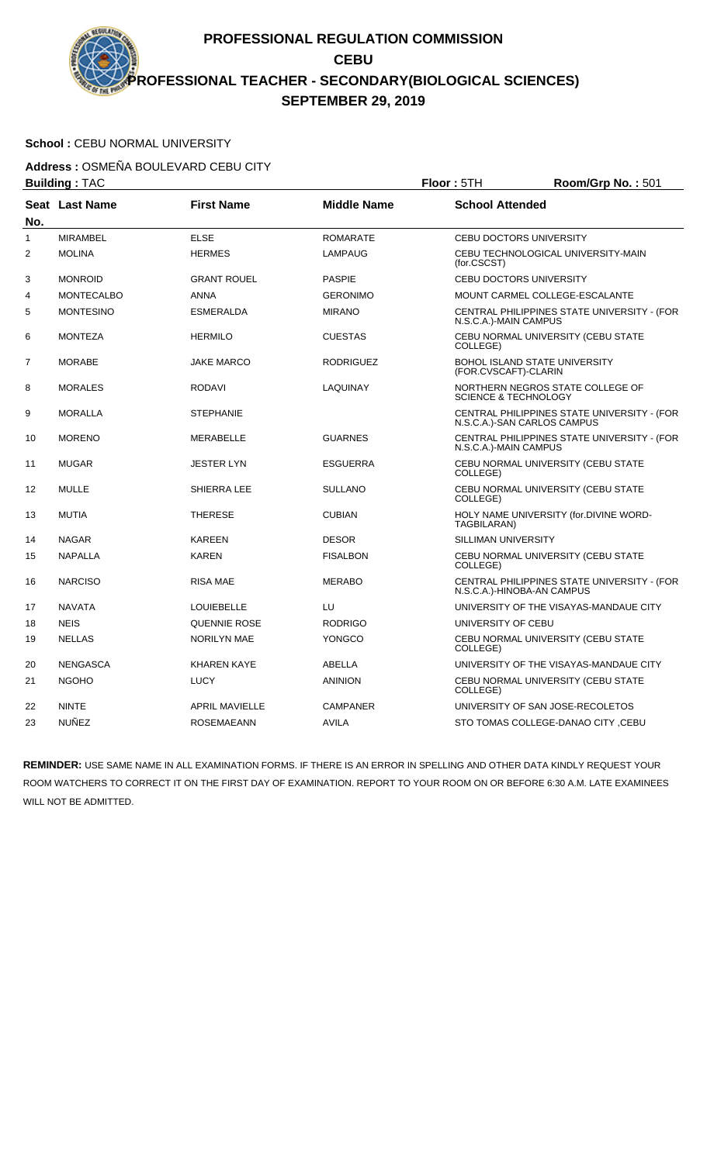### School : CEBU NORMAL UNIVERSITY

**Address :** OSMEÑA BOULEVARD CEBU CITY

|     | <b>Building: TAC</b> |                       |                    | Floor: 5TH                      | Room/Grp No.: 501                           |
|-----|----------------------|-----------------------|--------------------|---------------------------------|---------------------------------------------|
| No. | Seat Last Name       | <b>First Name</b>     | <b>Middle Name</b> | <b>School Attended</b>          |                                             |
| 1   | <b>MIRAMBEL</b>      | <b>ELSE</b>           | <b>ROMARATE</b>    | <b>CEBU DOCTORS UNIVERSITY</b>  |                                             |
| 2   | <b>MOLINA</b>        | <b>HERMES</b>         | <b>LAMPAUG</b>     | (for.CSCST)                     | CEBU TECHNOLOGICAL UNIVERSITY-MAIN          |
| 3   | <b>MONROID</b>       | <b>GRANT ROUEL</b>    | <b>PASPIE</b>      | <b>CEBU DOCTORS UNIVERSITY</b>  |                                             |
| 4   | <b>MONTECALBO</b>    | <b>ANNA</b>           | <b>GERONIMO</b>    |                                 | MOUNT CARMEL COLLEGE-ESCALANTE              |
| 5   | <b>MONTESINO</b>     | <b>ESMERALDA</b>      | <b>MIRANO</b>      | N.S.C.A.)-MAIN CAMPUS           | CENTRAL PHILIPPINES STATE UNIVERSITY - (FOR |
| 6   | <b>MONTEZA</b>       | <b>HERMILO</b>        | <b>CUESTAS</b>     | COLLEGE)                        | CEBU NORMAL UNIVERSITY (CEBU STATE          |
| 7   | <b>MORABE</b>        | <b>JAKE MARCO</b>     | <b>RODRIGUEZ</b>   | (FOR.CVSCAFT)-CLARIN            | <b>BOHOL ISLAND STATE UNIVERSITY</b>        |
| 8   | <b>MORALES</b>       | <b>RODAVI</b>         | <b>LAQUINAY</b>    | <b>SCIENCE &amp; TECHNOLOGY</b> | NORTHERN NEGROS STATE COLLEGE OF            |
| 9   | <b>MORALLA</b>       | <b>STEPHANIE</b>      |                    | N.S.C.A.)-SAN CARLOS CAMPUS     | CENTRAL PHILIPPINES STATE UNIVERSITY - (FOR |
| 10  | <b>MORENO</b>        | <b>MERABELLE</b>      | <b>GUARNES</b>     | N.S.C.A.)-MAIN CAMPUS           | CENTRAL PHILIPPINES STATE UNIVERSITY - (FOR |
| 11  | <b>MUGAR</b>         | <b>JESTER LYN</b>     | <b>ESGUERRA</b>    | COLLEGE)                        | CEBU NORMAL UNIVERSITY (CEBU STATE          |
| 12  | <b>MULLE</b>         | SHIERRA LEE           | <b>SULLANO</b>     | COLLEGE)                        | CEBU NORMAL UNIVERSITY (CEBU STATE          |
| 13  | <b>MUTIA</b>         | <b>THERESE</b>        | <b>CUBIAN</b>      | TAGBILARAN)                     | HOLY NAME UNIVERSITY (for.DIVINE WORD-      |
| 14  | <b>NAGAR</b>         | <b>KAREEN</b>         | <b>DESOR</b>       | SILLIMAN UNIVERSITY             |                                             |
| 15  | <b>NAPALLA</b>       | <b>KAREN</b>          | <b>FISALBON</b>    | COLLEGE)                        | CEBU NORMAL UNIVERSITY (CEBU STATE          |
| 16  | <b>NARCISO</b>       | <b>RISA MAE</b>       | <b>MERABO</b>      | N.S.C.A.)-HINOBA-AN CAMPUS      | CENTRAL PHILIPPINES STATE UNIVERSITY - (FOR |
| 17  | <b>NAVATA</b>        | <b>LOUIEBELLE</b>     | LU                 |                                 | UNIVERSITY OF THE VISAYAS-MANDAUE CITY      |
| 18  | <b>NEIS</b>          | QUENNIE ROSE          | <b>RODRIGO</b>     | UNIVERSITY OF CEBU              |                                             |
| 19  | <b>NELLAS</b>        | <b>NORILYN MAE</b>    | <b>YONGCO</b>      | COLLEGE)                        | CEBU NORMAL UNIVERSITY (CEBU STATE          |
| 20  | <b>NENGASCA</b>      | <b>KHAREN KAYE</b>    | ABELLA             |                                 | UNIVERSITY OF THE VISAYAS-MANDAUE CITY      |
| 21  | <b>NGOHO</b>         | <b>LUCY</b>           | <b>ANINION</b>     | COLLEGE)                        | CEBU NORMAL UNIVERSITY (CEBU STATE          |
| 22  | <b>NINTE</b>         | <b>APRIL MAVIELLE</b> | <b>CAMPANER</b>    |                                 | UNIVERSITY OF SAN JOSE-RECOLETOS            |
| 23  | <b>NUÑEZ</b>         | <b>ROSEMAEANN</b>     | <b>AVILA</b>       |                                 | STO TOMAS COLLEGE-DANAO CITY, CEBU          |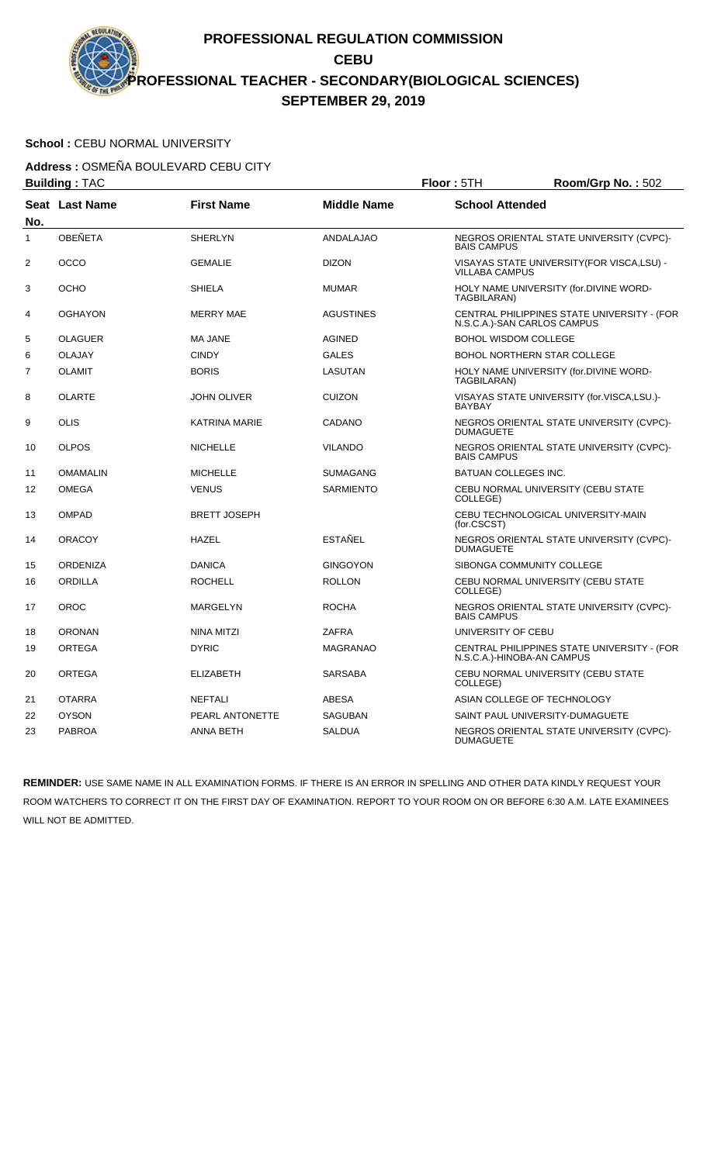### School : CEBU NORMAL UNIVERSITY

**Address :** OSMEÑA BOULEVARD CEBU CITY

| <b>Building: TAC</b> |                 |                     |                    | Floor: 5TH                  | Room/Grp No.: 502                                                          |
|----------------------|-----------------|---------------------|--------------------|-----------------------------|----------------------------------------------------------------------------|
| No.                  | Seat Last Name  | <b>First Name</b>   | <b>Middle Name</b> | <b>School Attended</b>      |                                                                            |
| $\mathbf{1}$         | <b>OBEÑETA</b>  | <b>SHERLYN</b>      | <b>ANDALAJAO</b>   | <b>BAIS CAMPUS</b>          | NEGROS ORIENTAL STATE UNIVERSITY (CVPC)-                                   |
| $\overline{2}$       | <b>OCCO</b>     | <b>GEMALIE</b>      | <b>DIZON</b>       | <b>VILLABA CAMPUS</b>       | VISAYAS STATE UNIVERSITY (FOR VISCA, LSU) -                                |
| 3                    | <b>OCHO</b>     | <b>SHIELA</b>       | <b>MUMAR</b>       | TAGBILARAN)                 | HOLY NAME UNIVERSITY (for.DIVINE WORD-                                     |
| 4                    | <b>OGHAYON</b>  | <b>MERRY MAE</b>    | AGUSTINES          |                             | CENTRAL PHILIPPINES STATE UNIVERSITY - (FOR<br>N.S.C.A.)-SAN CARLOS CAMPUS |
| 5                    | <b>OLAGUER</b>  | <b>MA JANE</b>      | AGINED             | <b>BOHOL WISDOM COLLEGE</b> |                                                                            |
| 6                    | <b>OLAJAY</b>   | <b>CINDY</b>        | <b>GALES</b>       |                             | <b>BOHOL NORTHERN STAR COLLEGE</b>                                         |
| 7                    | <b>OLAMIT</b>   | <b>BORIS</b>        | LASUTAN            | TAGBILARAN)                 | HOLY NAME UNIVERSITY (for.DIVINE WORD-                                     |
| 8                    | <b>OLARTE</b>   | <b>JOHN OLIVER</b>  | <b>CUIZON</b>      | <b>BAYBAY</b>               | VISAYAS STATE UNIVERSITY (for.VISCA,LSU.)-                                 |
| 9                    | <b>OLIS</b>     | KATRINA MARIE       | CADANO             | <b>DUMAGUETE</b>            | NEGROS ORIENTAL STATE UNIVERSITY (CVPC)-                                   |
| 10                   | <b>OLPOS</b>    | <b>NICHELLE</b>     | <b>VILANDO</b>     | <b>BAIS CAMPUS</b>          | NEGROS ORIENTAL STATE UNIVERSITY (CVPC)-                                   |
| 11                   | <b>OMAMALIN</b> | <b>MICHELLE</b>     | SUMAGANG           | <b>BATUAN COLLEGES INC.</b> |                                                                            |
| 12                   | <b>OMEGA</b>    | <b>VENUS</b>        | <b>SARMIENTO</b>   | COLLEGE)                    | CEBU NORMAL UNIVERSITY (CEBU STATE                                         |
| 13                   | <b>OMPAD</b>    | <b>BRETT JOSEPH</b> |                    | (for.CSCST)                 | CEBU TECHNOLOGICAL UNIVERSITY-MAIN                                         |
| 14                   | <b>ORACOY</b>   | <b>HAZEL</b>        | ESTAÑEL            | <b>DUMAGUETE</b>            | NEGROS ORIENTAL STATE UNIVERSITY (CVPC)-                                   |
| 15                   | <b>ORDENIZA</b> | <b>DANICA</b>       | <b>GINGOYON</b>    |                             | SIBONGA COMMUNITY COLLEGE                                                  |
| 16                   | <b>ORDILLA</b>  | <b>ROCHELL</b>      | <b>ROLLON</b>      | COLLEGE)                    | CEBU NORMAL UNIVERSITY (CEBU STATE                                         |
| 17                   | OROC            | <b>MARGELYN</b>     | <b>ROCHA</b>       | <b>BAIS CAMPUS</b>          | NEGROS ORIENTAL STATE UNIVERSITY (CVPC)-                                   |
| 18                   | <b>ORONAN</b>   | NINA MITZI          | <b>ZAFRA</b>       | UNIVERSITY OF CEBU          |                                                                            |
| 19                   | <b>ORTEGA</b>   | <b>DYRIC</b>        | <b>MAGRANAO</b>    |                             | CENTRAL PHILIPPINES STATE UNIVERSITY - (FOR<br>N.S.C.A.)-HINOBA-AN CAMPUS  |
| 20                   | <b>ORTEGA</b>   | <b>ELIZABETH</b>    | <b>SARSABA</b>     | COLLEGE)                    | CEBU NORMAL UNIVERSITY (CEBU STATE                                         |
| 21                   | <b>OTARRA</b>   | <b>NEFTALI</b>      | <b>ABESA</b>       |                             | ASIAN COLLEGE OF TECHNOLOGY                                                |
| 22                   | <b>OYSON</b>    | PEARL ANTONETTE     | <b>SAGUBAN</b>     |                             | SAINT PAUL UNIVERSITY-DUMAGUETE                                            |
| 23                   | <b>PABROA</b>   | <b>ANNA BETH</b>    | <b>SALDUA</b>      | <b>DUMAGUETE</b>            | NEGROS ORIENTAL STATE UNIVERSITY (CVPC)-                                   |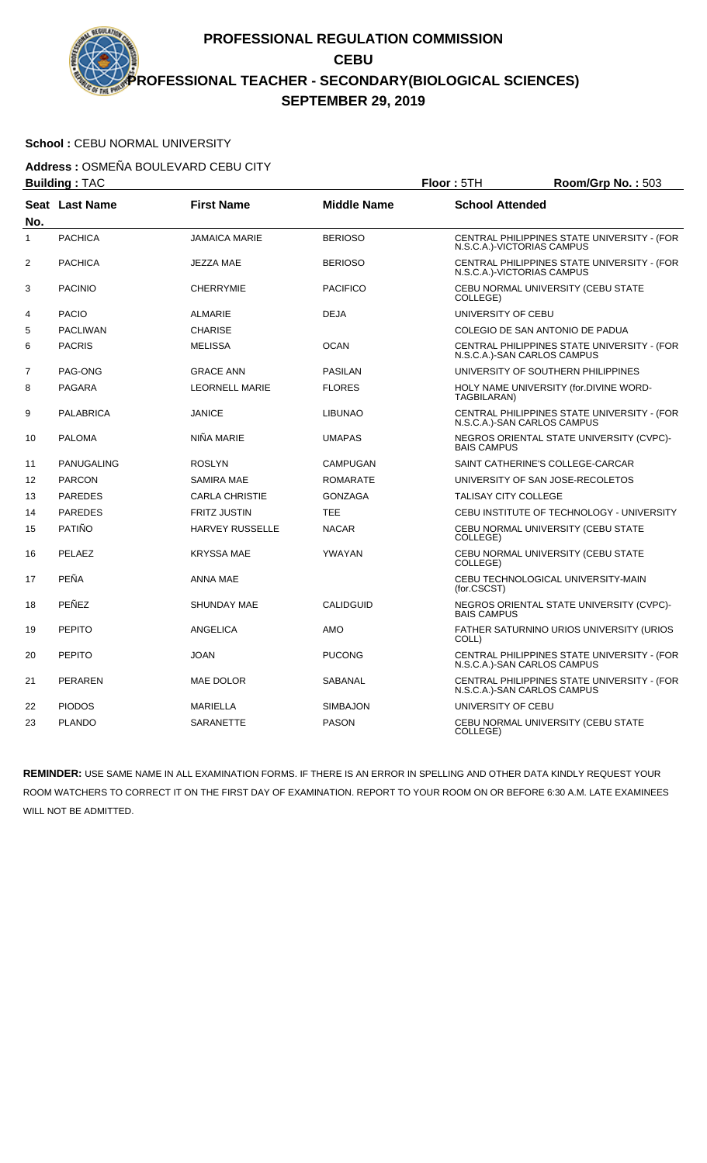### School : CEBU NORMAL UNIVERSITY

**Address :** OSMEÑA BOULEVARD CEBU CITY

| <b>Building: TAC</b> |                   |                        |                    | Floor: 5TH                  | Room/Grp No.: 503                                                          |
|----------------------|-------------------|------------------------|--------------------|-----------------------------|----------------------------------------------------------------------------|
| No.                  | Seat Last Name    | <b>First Name</b>      | <b>Middle Name</b> | <b>School Attended</b>      |                                                                            |
| 1                    | <b>PACHICA</b>    | <b>JAMAICA MARIE</b>   | <b>BERIOSO</b>     |                             | CENTRAL PHILIPPINES STATE UNIVERSITY - (FOR<br>N.S.C.A.)-VICTORIAS CAMPUS  |
| $\overline{2}$       | <b>PACHICA</b>    | <b>JEZZA MAE</b>       | <b>BERIOSO</b>     |                             | CENTRAL PHILIPPINES STATE UNIVERSITY - (FOR<br>N.S.C.A.)-VICTORIAS CAMPUS  |
| 3                    | <b>PACINIO</b>    | <b>CHERRYMIE</b>       | <b>PACIFICO</b>    | COLLEGE)                    | CEBU NORMAL UNIVERSITY (CEBU STATE                                         |
| 4                    | <b>PACIO</b>      | <b>ALMARIE</b>         | <b>DEJA</b>        | UNIVERSITY OF CEBU          |                                                                            |
| 5                    | <b>PACLIWAN</b>   | <b>CHARISE</b>         |                    |                             | COLEGIO DE SAN ANTONIO DE PADUA                                            |
| 6                    | <b>PACRIS</b>     | <b>MELISSA</b>         | <b>OCAN</b>        |                             | CENTRAL PHILIPPINES STATE UNIVERSITY - (FOR<br>N.S.C.A.)-SAN CARLOS CAMPUS |
| $\overline{7}$       | PAG-ONG           | <b>GRACE ANN</b>       | <b>PASILAN</b>     |                             | UNIVERSITY OF SOUTHERN PHILIPPINES                                         |
| 8                    | <b>PAGARA</b>     | <b>LEORNELL MARIE</b>  | <b>FLORES</b>      | TAGBILARAN)                 | HOLY NAME UNIVERSITY (for.DIVINE WORD-                                     |
| 9                    | <b>PALABRICA</b>  | <b>JANICE</b>          | <b>LIBUNAO</b>     |                             | CENTRAL PHILIPPINES STATE UNIVERSITY - (FOR<br>N.S.C.A.)-SAN CARLOS CAMPUS |
| 10                   | <b>PALOMA</b>     | NIÑA MARIE             | <b>UMAPAS</b>      | <b>BAIS CAMPUS</b>          | NEGROS ORIENTAL STATE UNIVERSITY (CVPC)-                                   |
| 11                   | <b>PANUGALING</b> | <b>ROSLYN</b>          | <b>CAMPUGAN</b>    |                             | SAINT CATHERINE'S COLLEGE-CARCAR                                           |
| 12                   | <b>PARCON</b>     | <b>SAMIRA MAE</b>      | <b>ROMARATE</b>    |                             | UNIVERSITY OF SAN JOSE-RECOLETOS                                           |
| 13                   | <b>PAREDES</b>    | <b>CARLA CHRISTIE</b>  | <b>GONZAGA</b>     | <b>TALISAY CITY COLLEGE</b> |                                                                            |
| 14                   | <b>PAREDES</b>    | <b>FRITZ JUSTIN</b>    | <b>TEE</b>         |                             | CEBU INSTITUTE OF TECHNOLOGY - UNIVERSITY                                  |
| 15                   | <b>PATIÑO</b>     | <b>HARVEY RUSSELLE</b> | <b>NACAR</b>       | COLLEGE)                    | CEBU NORMAL UNIVERSITY (CEBU STATE                                         |
| 16                   | PELAEZ            | <b>KRYSSA MAE</b>      | YWAYAN             | COLLEGE)                    | CEBU NORMAL UNIVERSITY (CEBU STATE                                         |
| 17                   | <b>PEÑA</b>       | ANNA MAE               |                    | (for.CSCST)                 | CEBU TECHNOLOGICAL UNIVERSITY-MAIN                                         |
| 18                   | PEÑEZ             | <b>SHUNDAY MAE</b>     | <b>CALIDGUID</b>   | <b>BAIS CAMPUS</b>          | NEGROS ORIENTAL STATE UNIVERSITY (CVPC)-                                   |
| 19                   | <b>PEPITO</b>     | <b>ANGELICA</b>        | AMO                | COLL)                       | FATHER SATURNINO URIOS UNIVERSITY (URIOS                                   |
| 20                   | <b>PEPITO</b>     | <b>JOAN</b>            | <b>PUCONG</b>      |                             | CENTRAL PHILIPPINES STATE UNIVERSITY - (FOR<br>N.S.C.A.)-SAN CARLOS CAMPUS |
| 21                   | <b>PERAREN</b>    | MAE DOLOR              | SABANAL            |                             | CENTRAL PHILIPPINES STATE UNIVERSITY - (FOR<br>N.S.C.A.)-SAN CARLOS CAMPUS |
| 22                   | <b>PIODOS</b>     | <b>MARIELLA</b>        | <b>SIMBAJON</b>    | UNIVERSITY OF CEBU          |                                                                            |
| 23                   | <b>PLANDO</b>     | SARANETTE              | <b>PASON</b>       | COLLEGE)                    | CEBU NORMAL UNIVERSITY (CEBU STATE                                         |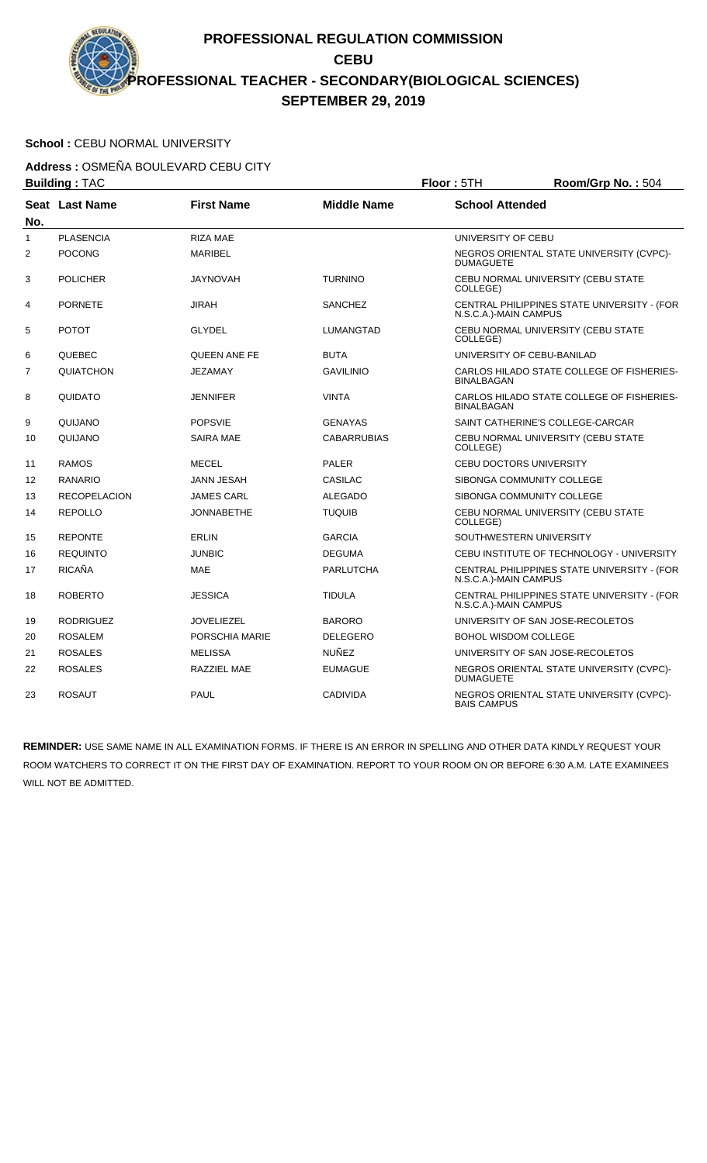# School : CEBU NORMAL UNIVERSITY

**Address :** OSMEÑA BOULEVARD CEBU CITY

|                | <b>Building: TAC</b> |                   | Floor: 5TH         | Room/Grp No.: 504              |                                             |
|----------------|----------------------|-------------------|--------------------|--------------------------------|---------------------------------------------|
| No.            | Seat Last Name       | <b>First Name</b> | <b>Middle Name</b> | <b>School Attended</b>         |                                             |
| $\mathbf{1}$   | <b>PLASENCIA</b>     | <b>RIZA MAE</b>   |                    | UNIVERSITY OF CEBU             |                                             |
| 2              | <b>POCONG</b>        | <b>MARIBEL</b>    |                    | <b>DUMAGUETE</b>               | NEGROS ORIENTAL STATE UNIVERSITY (CVPC)-    |
| 3              | <b>POLICHER</b>      | <b>JAYNOVAH</b>   | <b>TURNINO</b>     | COLLEGE)                       | CEBU NORMAL UNIVERSITY (CEBU STATE          |
| 4              | <b>PORNETE</b>       | <b>JIRAH</b>      | <b>SANCHEZ</b>     | N.S.C.A.)-MAIN CAMPUS          | CENTRAL PHILIPPINES STATE UNIVERSITY - (FOR |
| 5              | <b>POTOT</b>         | <b>GLYDEL</b>     | LUMANGTAD          | COLLEGE)                       | CEBU NORMAL UNIVERSITY (CEBU STATE          |
| 6              | QUEBEC               | QUEEN ANE FE      | <b>BUTA</b>        |                                | UNIVERSITY OF CEBU-BANILAD                  |
| $\overline{7}$ | QUIATCHON            | <b>JEZAMAY</b>    | <b>GAVILINIO</b>   | <b>BINALBAGAN</b>              | CARLOS HILADO STATE COLLEGE OF FISHERIES-   |
| 8              | QUIDATO              | <b>JENNIFER</b>   | <b>VINTA</b>       | <b>BINALBAGAN</b>              | CARLOS HILADO STATE COLLEGE OF FISHERIES-   |
| 9              | QUIJANO              | <b>POPSVIE</b>    | <b>GENAYAS</b>     |                                | SAINT CATHERINE'S COLLEGE-CARCAR            |
| 10             | QUIJANO              | <b>SAIRA MAE</b>  | <b>CABARRUBIAS</b> | COLLEGE)                       | CEBU NORMAL UNIVERSITY (CEBU STATE          |
| 11             | <b>RAMOS</b>         | <b>MECEL</b>      | <b>PALER</b>       | <b>CEBU DOCTORS UNIVERSITY</b> |                                             |
| 12             | RANARIO              | <b>JANN JESAH</b> | CASILAC            |                                | SIBONGA COMMUNITY COLLEGE                   |
| 13             | <b>RECOPELACION</b>  | <b>JAMES CARL</b> | <b>ALEGADO</b>     |                                | SIBONGA COMMUNITY COLLEGE                   |
| 14             | <b>REPOLLO</b>       | <b>JONNABETHE</b> | <b>TUQUIB</b>      | COLLEGE)                       | CEBU NORMAL UNIVERSITY (CEBU STATE          |
| 15             | <b>REPONTE</b>       | <b>ERLIN</b>      | <b>GARCIA</b>      | SOUTHWESTERN UNIVERSITY        |                                             |
| 16             | <b>REQUINTO</b>      | <b>JUNBIC</b>     | <b>DEGUMA</b>      |                                | CEBU INSTITUTE OF TECHNOLOGY - UNIVERSITY   |
| 17             | <b>RICAÑA</b>        | <b>MAE</b>        | <b>PARLUTCHA</b>   | N.S.C.A.)-MAIN CAMPUS          | CENTRAL PHILIPPINES STATE UNIVERSITY - (FOR |
| 18             | <b>ROBERTO</b>       | <b>JESSICA</b>    | <b>TIDULA</b>      | N.S.C.A.)-MAIN CAMPUS          | CENTRAL PHILIPPINES STATE UNIVERSITY - (FOR |
| 19             | <b>RODRIGUEZ</b>     | <b>JOVELIEZEL</b> | <b>BARORO</b>      |                                | UNIVERSITY OF SAN JOSE-RECOLETOS            |
| 20             | <b>ROSALEM</b>       | PORSCHIA MARIE    | <b>DELEGERO</b>    | <b>BOHOL WISDOM COLLEGE</b>    |                                             |
| 21             | <b>ROSALES</b>       | <b>MELISSA</b>    | <b>NUÑEZ</b>       |                                | UNIVERSITY OF SAN JOSE-RECOLETOS            |
| 22             | <b>ROSALES</b>       | RAZZIEL MAE       | <b>EUMAGUE</b>     | <b>DUMAGUETE</b>               | NEGROS ORIENTAL STATE UNIVERSITY (CVPC)-    |
| 23             | <b>ROSAUT</b>        | <b>PAUL</b>       | <b>CADIVIDA</b>    | <b>BAIS CAMPUS</b>             | NEGROS ORIENTAL STATE UNIVERSITY (CVPC)-    |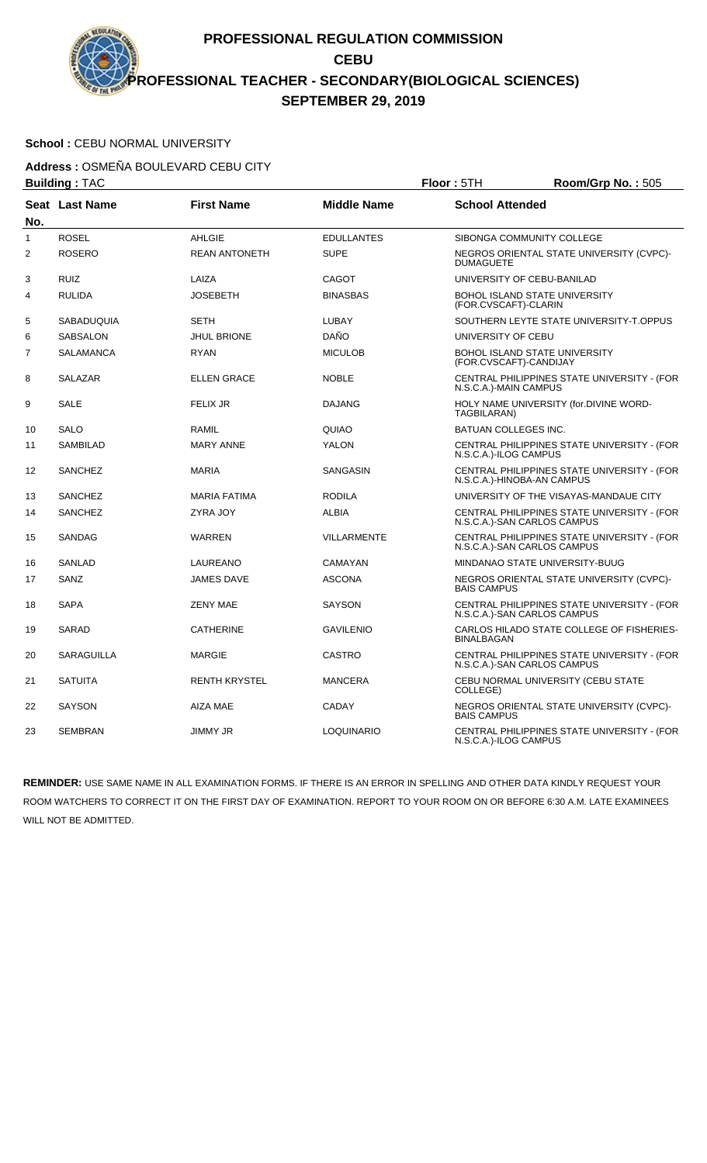# School : CEBU NORMAL UNIVERSITY

**Address :** OSMEÑA BOULEVARD CEBU CITY

|                | <b>Building: TAC</b> |                      | Floor: 5TH         | Room/Grp No.: 505          |                                                                            |
|----------------|----------------------|----------------------|--------------------|----------------------------|----------------------------------------------------------------------------|
|                | Seat Last Name       | <b>First Name</b>    | <b>Middle Name</b> | <b>School Attended</b>     |                                                                            |
| No.            |                      |                      |                    |                            |                                                                            |
| $\mathbf{1}$   | <b>ROSEL</b>         | <b>AHLGIE</b>        | <b>EDULLANTES</b>  |                            | SIBONGA COMMUNITY COLLEGE                                                  |
| $\overline{2}$ | <b>ROSERO</b>        | <b>REAN ANTONETH</b> | <b>SUPE</b>        | <b>DUMAGUETE</b>           | NEGROS ORIENTAL STATE UNIVERSITY (CVPC)-                                   |
| 3              | <b>RUIZ</b>          | LAIZA                | <b>CAGOT</b>       |                            | UNIVERSITY OF CEBU-BANILAD                                                 |
| 4              | <b>RULIDA</b>        | <b>JOSEBETH</b>      | <b>BINASBAS</b>    | (FOR.CVSCAFT)-CLARIN       | BOHOL ISLAND STATE UNIVERSITY                                              |
| 5              | SABADUQUIA           | <b>SETH</b>          | LUBAY              |                            | SOUTHERN LEYTE STATE UNIVERSITY-T.OPPUS                                    |
| 6              | <b>SABSALON</b>      | <b>JHUL BRIONE</b>   | DAÑO               | UNIVERSITY OF CEBU         |                                                                            |
| 7              | SALAMANCA            | <b>RYAN</b>          | <b>MICULOB</b>     | (FOR.CVSCAFT)-CANDIJAY     | BOHOL ISLAND STATE UNIVERSITY                                              |
| 8              | <b>SALAZAR</b>       | <b>ELLEN GRACE</b>   | <b>NOBLE</b>       | N.S.C.A.)-MAIN CAMPUS      | CENTRAL PHILIPPINES STATE UNIVERSITY - (FOR                                |
| 9              | <b>SALE</b>          | <b>FELIX JR</b>      | <b>DAJANG</b>      | TAGBILARAN)                | HOLY NAME UNIVERSITY (for.DIVINE WORD-                                     |
| 10             | <b>SALO</b>          | <b>RAMIL</b>         | QUIAO              | BATUAN COLLEGES INC.       |                                                                            |
| 11             | <b>SAMBILAD</b>      | <b>MARY ANNE</b>     | <b>YALON</b>       | N.S.C.A.)-ILOG CAMPUS      | CENTRAL PHILIPPINES STATE UNIVERSITY - (FOR                                |
| 12             | <b>SANCHEZ</b>       | <b>MARIA</b>         | SANGASIN           | N.S.C.A.)-HINOBA-AN CAMPUS | CENTRAL PHILIPPINES STATE UNIVERSITY - (FOR                                |
| 13             | <b>SANCHEZ</b>       | <b>MARIA FATIMA</b>  | <b>RODILA</b>      |                            | UNIVERSITY OF THE VISAYAS-MANDAUE CITY                                     |
| 14             | <b>SANCHEZ</b>       | ZYRA JOY             | <b>ALBIA</b>       |                            | CENTRAL PHILIPPINES STATE UNIVERSITY - (FOR<br>N.S.C.A.)-SAN CARLOS CAMPUS |
| 15             | SANDAG               | <b>WARREN</b>        | <b>VILLARMENTE</b> |                            | CENTRAL PHILIPPINES STATE UNIVERSITY - (FOR<br>N.S.C.A.)-SAN CARLOS CAMPUS |
| 16             | <b>SANLAD</b>        | LAUREANO             | <b>CAMAYAN</b>     |                            | MINDANAO STATE UNIVERSITY-BUUG                                             |
| 17             | SANZ                 | <b>JAMES DAVE</b>    | <b>ASCONA</b>      | <b>BAIS CAMPUS</b>         | NEGROS ORIENTAL STATE UNIVERSITY (CVPC)-                                   |
| 18             | <b>SAPA</b>          | <b>ZENY MAE</b>      | <b>SAYSON</b>      |                            | CENTRAL PHILIPPINES STATE UNIVERSITY - (FOR<br>N.S.C.A.)-SAN CARLOS CAMPUS |
| 19             | <b>SARAD</b>         | <b>CATHERINE</b>     | <b>GAVILENIO</b>   | BINALBAGAN                 | CARLOS HILADO STATE COLLEGE OF FISHERIES-                                  |
| 20             | <b>SARAGUILLA</b>    | <b>MARGIE</b>        | <b>CASTRO</b>      |                            | CENTRAL PHILIPPINES STATE UNIVERSITY - (FOR<br>N.S.C.A.)-SAN CARLOS CAMPUS |
| 21             | SATUITA              | <b>RENTH KRYSTEL</b> | <b>MANCERA</b>     | COLLEGE)                   | CEBU NORMAL UNIVERSITY (CEBU STATE                                         |
| 22             | <b>SAYSON</b>        | <b>AIZA MAE</b>      | <b>CADAY</b>       | <b>BAIS CAMPUS</b>         | NEGROS ORIENTAL STATE UNIVERSITY (CVPC)-                                   |
| 23             | <b>SEMBRAN</b>       | <b>JIMMY JR</b>      | <b>LOQUINARIO</b>  | N.S.C.A.)-ILOG CAMPUS      | CENTRAL PHILIPPINES STATE UNIVERSITY - (FOR                                |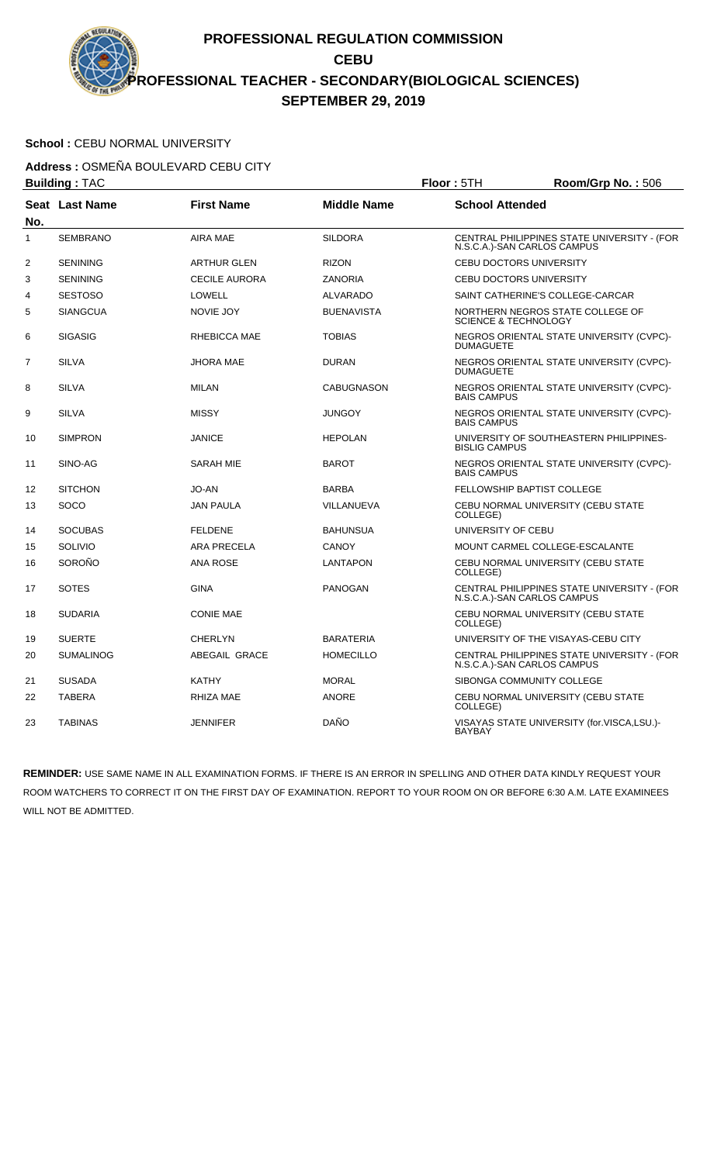# School : CEBU NORMAL UNIVERSITY

**Address :** OSMEÑA BOULEVARD CEBU CITY

| <b>Building: TAC</b> |                  |                      |                    | Floor: 5TH                          | Room/Grp No.: 506                           |
|----------------------|------------------|----------------------|--------------------|-------------------------------------|---------------------------------------------|
| No.                  | Seat Last Name   | <b>First Name</b>    | <b>Middle Name</b> | <b>School Attended</b>              |                                             |
| $\mathbf{1}$         | <b>SEMBRANO</b>  | <b>AIRA MAE</b>      | <b>SILDORA</b>     | N.S.C.A.)-SAN CARLOS CAMPUS         | CENTRAL PHILIPPINES STATE UNIVERSITY - (FOR |
| 2                    | <b>SENINING</b>  | <b>ARTHUR GLEN</b>   | <b>RIZON</b>       | CEBU DOCTORS UNIVERSITY             |                                             |
| 3                    | <b>SENINING</b>  | <b>CECILE AURORA</b> | <b>ZANORIA</b>     | <b>CEBU DOCTORS UNIVERSITY</b>      |                                             |
| 4                    | <b>SESTOSO</b>   | <b>LOWELL</b>        | ALVARADO           | SAINT CATHERINE'S COLLEGE-CARCAR    |                                             |
| 5                    | <b>SIANGCUA</b>  | <b>NOVIE JOY</b>     | <b>BUENAVISTA</b>  | <b>SCIENCE &amp; TECHNOLOGY</b>     | NORTHERN NEGROS STATE COLLEGE OF            |
| 6                    | <b>SIGASIG</b>   | RHEBICCA MAE         | <b>TOBIAS</b>      | <b>DUMAGUETE</b>                    | NEGROS ORIENTAL STATE UNIVERSITY (CVPC)-    |
| 7                    | <b>SILVA</b>     | <b>JHORA MAE</b>     | <b>DURAN</b>       | <b>DUMAGUETE</b>                    | NEGROS ORIENTAL STATE UNIVERSITY (CVPC)-    |
| 8                    | <b>SILVA</b>     | <b>MILAN</b>         | <b>CABUGNASON</b>  | <b>BAIS CAMPUS</b>                  | NEGROS ORIENTAL STATE UNIVERSITY (CVPC)-    |
| 9                    | <b>SILVA</b>     | <b>MISSY</b>         | <b>JUNGOY</b>      | <b>BAIS CAMPUS</b>                  | NEGROS ORIENTAL STATE UNIVERSITY (CVPC)-    |
| 10                   | <b>SIMPRON</b>   | <b>JANICE</b>        | <b>HEPOLAN</b>     | <b>BISLIG CAMPUS</b>                | UNIVERSITY OF SOUTHEASTERN PHILIPPINES-     |
| 11                   | SINO-AG          | <b>SARAH MIE</b>     | <b>BAROT</b>       | <b>BAIS CAMPUS</b>                  | NEGROS ORIENTAL STATE UNIVERSITY (CVPC)-    |
| 12                   | <b>SITCHON</b>   | JO-AN                | <b>BARBA</b>       | <b>FELLOWSHIP BAPTIST COLLEGE</b>   |                                             |
| 13                   | <b>SOCO</b>      | <b>JAN PAULA</b>     | VILLANUEVA         | COLLEGE)                            | CEBU NORMAL UNIVERSITY (CEBU STATE          |
| 14                   | <b>SOCUBAS</b>   | <b>FELDENE</b>       | <b>BAHUNSUA</b>    | UNIVERSITY OF CEBU                  |                                             |
| 15                   | SOLIVIO          | <b>ARA PRECELA</b>   | <b>CANOY</b>       | MOUNT CARMEL COLLEGE-ESCALANTE      |                                             |
| 16                   | SOROÑO           | <b>ANA ROSE</b>      | <b>LANTAPON</b>    | COLLEGE)                            | CEBU NORMAL UNIVERSITY (CEBU STATE          |
| 17                   | <b>SOTES</b>     | <b>GINA</b>          | <b>PANOGAN</b>     | N.S.C.A.)-SAN CARLOS CAMPUS         | CENTRAL PHILIPPINES STATE UNIVERSITY - (FOR |
| 18                   | <b>SUDARIA</b>   | <b>CONIE MAE</b>     |                    | COLLEGE)                            | CEBU NORMAL UNIVERSITY (CEBU STATE          |
| 19                   | <b>SUERTE</b>    | <b>CHERLYN</b>       | <b>BARATERIA</b>   | UNIVERSITY OF THE VISAYAS-CEBU CITY |                                             |
| 20                   | <b>SUMALINOG</b> | ABEGAIL GRACE        | <b>HOMECILLO</b>   | N.S.C.A.)-SAN CARLOS CAMPUS         | CENTRAL PHILIPPINES STATE UNIVERSITY - (FOR |
| 21                   | <b>SUSADA</b>    | <b>KATHY</b>         | <b>MORAL</b>       | SIBONGA COMMUNITY COLLEGE           |                                             |
| 22                   | <b>TABERA</b>    | RHIZA MAE            | <b>ANORE</b>       | COLLEGE)                            | CEBU NORMAL UNIVERSITY (CEBU STATE          |
| 23                   | <b>TABINAS</b>   | <b>JENNIFER</b>      | <b>DAÑO</b>        | <b>BAYBAY</b>                       | VISAYAS STATE UNIVERSITY (for.VISCA,LSU.)-  |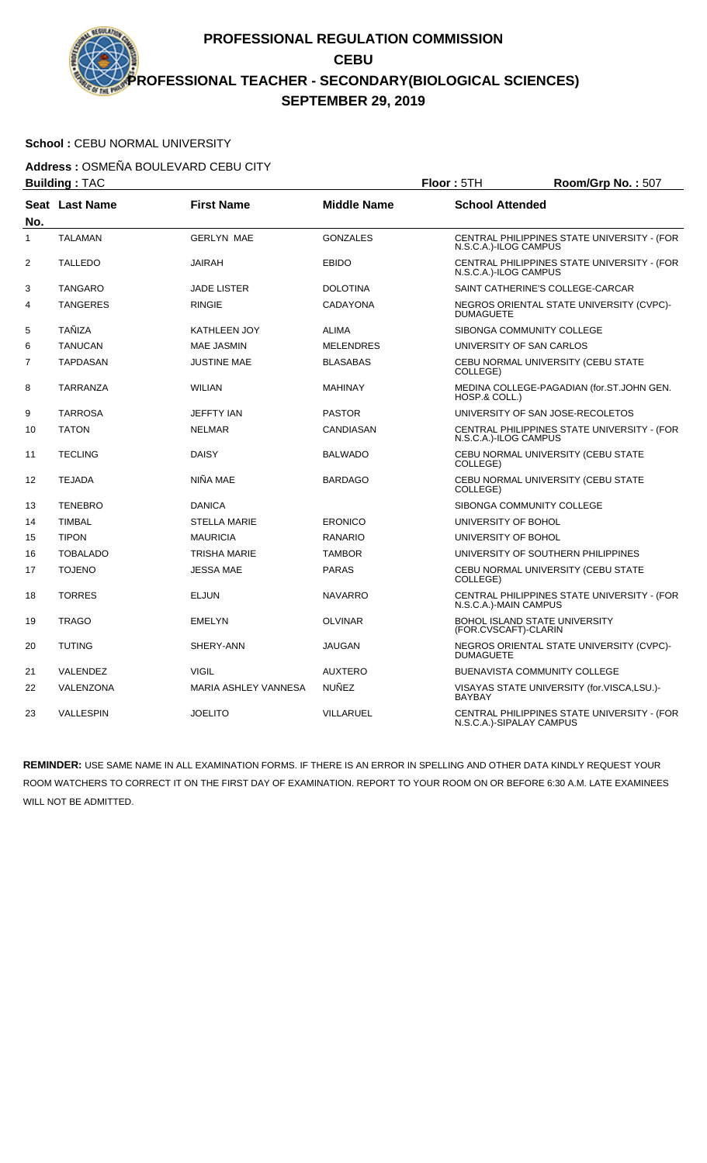### School : CEBU NORMAL UNIVERSITY

**Address :** OSMEÑA BOULEVARD CEBU CITY

|                | <b>Building: TAC</b>  |                             | Floor: 5TH         | Room/Grp No.: 507         |                                             |
|----------------|-----------------------|-----------------------------|--------------------|---------------------------|---------------------------------------------|
|                | <b>Seat Last Name</b> | <b>First Name</b>           | <b>Middle Name</b> | <b>School Attended</b>    |                                             |
| No.<br>1       | <b>TALAMAN</b>        | <b>GERLYN MAE</b>           | <b>GONZALES</b>    | N.S.C.A.)-ILOG CAMPUS     | CENTRAL PHILIPPINES STATE UNIVERSITY - (FOR |
| $\overline{2}$ | <b>TALLEDO</b>        | <b>JAIRAH</b>               | <b>EBIDO</b>       | N.S.C.A.)-ILOG CAMPUS     | CENTRAL PHILIPPINES STATE UNIVERSITY - (FOR |
| 3              | <b>TANGARO</b>        | <b>JADE LISTER</b>          | <b>DOLOTINA</b>    |                           | SAINT CATHERINE'S COLLEGE-CARCAR            |
| 4              | <b>TANGERES</b>       | <b>RINGIE</b>               | <b>CADAYONA</b>    | <b>DUMAGUETE</b>          | NEGROS ORIENTAL STATE UNIVERSITY (CVPC)-    |
| 5              | <b>TAÑIZA</b>         | <b>KATHLEEN JOY</b>         | <b>ALIMA</b>       | SIBONGA COMMUNITY COLLEGE |                                             |
| 6              | <b>TANUCAN</b>        | <b>MAE JASMIN</b>           | <b>MELENDRES</b>   | UNIVERSITY OF SAN CARLOS  |                                             |
| $\overline{7}$ | <b>TAPDASAN</b>       | <b>JUSTINE MAE</b>          | <b>BLASABAS</b>    | COLLEGE)                  | CEBU NORMAL UNIVERSITY (CEBU STATE          |
| 8              | TARRANZA              | <b>WILIAN</b>               | MAHINAY            | HOSP.& COLL.)             | MEDINA COLLEGE-PAGADIAN (for.ST.JOHN GEN.   |
| 9              | <b>TARROSA</b>        | <b>JEFFTY IAN</b>           | <b>PASTOR</b>      |                           | UNIVERSITY OF SAN JOSE-RECOLETOS            |
| 10             | <b>TATON</b>          | <b>NELMAR</b>               | CANDIASAN          | N.S.C.A.)-ILOG CAMPUS     | CENTRAL PHILIPPINES STATE UNIVERSITY - (FOR |
| 11             | <b>TECLING</b>        | <b>DAISY</b>                | <b>BALWADO</b>     | COLLEGE)                  | CEBU NORMAL UNIVERSITY (CEBU STATE          |
| 12             | <b>TEJADA</b>         | NIÑA MAE                    | <b>BARDAGO</b>     | COLLEGE)                  | CEBU NORMAL UNIVERSITY (CEBU STATE          |
| 13             | <b>TENEBRO</b>        | <b>DANICA</b>               |                    | SIBONGA COMMUNITY COLLEGE |                                             |
| 14             | <b>TIMBAL</b>         | <b>STELLA MARIE</b>         | <b>ERONICO</b>     | UNIVERSITY OF BOHOL       |                                             |
| 15             | <b>TIPON</b>          | <b>MAURICIA</b>             | <b>RANARIO</b>     | UNIVERSITY OF BOHOL       |                                             |
| 16             | <b>TOBALADO</b>       | <b>TRISHA MARIE</b>         | <b>TAMBOR</b>      |                           | UNIVERSITY OF SOUTHERN PHILIPPINES          |
| 17             | <b>TOJENO</b>         | <b>JESSA MAE</b>            | <b>PARAS</b>       | COLLEGE)                  | CEBU NORMAL UNIVERSITY (CEBU STATE          |
| 18             | <b>TORRES</b>         | <b>ELJUN</b>                | <b>NAVARRO</b>     | N.S.C.A.)-MAIN CAMPUS     | CENTRAL PHILIPPINES STATE UNIVERSITY - (FOR |
| 19             | <b>TRAGO</b>          | <b>EMELYN</b>               | <b>OLVINAR</b>     | (FOR.CVSCAFT)-CLARIN      | <b>BOHOL ISLAND STATE UNIVERSITY</b>        |
| 20             | <b>TUTING</b>         | SHERY-ANN                   | JAUGAN             | <b>DUMAGUETE</b>          | NEGROS ORIENTAL STATE UNIVERSITY (CVPC)-    |
| 21             | VALENDEZ              | <b>VIGIL</b>                | <b>AUXTERO</b>     |                           | <b>BUENAVISTA COMMUNITY COLLEGE</b>         |
| 22             | VALENZONA             | <b>MARIA ASHLEY VANNESA</b> | <b>NUÑEZ</b>       | <b>BAYBAY</b>             | VISAYAS STATE UNIVERSITY (for.VISCA,LSU.)-  |
| 23             | VALLESPIN             | <b>JOELITO</b>              | VILLARUEL          | N.S.C.A.)-SIPALAY CAMPUS  | CENTRAL PHILIPPINES STATE UNIVERSITY - (FOR |